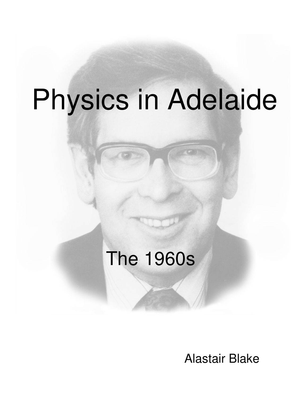# Physics in Adelaide

## The 1960s

Alastair Blake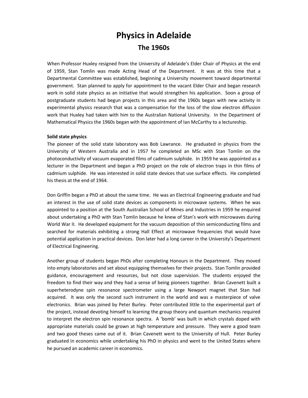### **Physics in Adelaide The 1960s**

When Professor Huxley resigned from the University of Adelaide's Elder Chair of Physics at the end of 1959, Stan Tomlin was made Acting Head of the Department. It was at this time that a Departmental Committee was established, beginning a University movement toward departmental government. Stan planned to apply for appointment to the vacant Elder Chair and began research work in solid state physics as an initiative that would strengthen his application. Soon a group of postgraduate students had begun projects in this area and the 1960s began with new activity in experimental physics research that was a compensation for the loss of the slow electron diffusion work that Huxley had taken with him to the Australian National University. In the Department of Mathematical Physics the 1960s began with the appointment of Ian McCarthy to a lectureship.

#### **Solid state physics**

The pioneer of the solid state laboratory was Bob Lawrance. He graduated in physics from the University of Western Australia and in 1957 he completed an MSc with Stan Tomlin on the photoconductivity of vacuum evaporated films of cadmium sulphide. In 1959 he was appointed as a lecturer in the Department and began a PhD project on the role of electron traps in thin films of cadmium sulphide. He was interested in solid state devices that use surface effects. He completed his thesis at the end of 1964.

Don Griffin began a PhD at about the same time. He was an Electrical Engineering graduate and had an interest in the use of solid state devices as components in microwave systems. When he was appointed to a position at the South Australian School of Mines and Industries in 1959 he enquired about undertaking a PhD with Stan Tomlin because he knew of Stan's work with microwaves during World War II. He developed equipment for the vacuum deposition of thin semiconducting films and searched for materials exhibiting a strong Hall Effect at microwave frequencies that would have potential application in practical devices. Don later had a long career in the University's Department of Electrical Engineering.

Another group of students began PhDs after completing Honours in the Department. They moved into empty laboratories and set about equipping themselves for their projects. Stan Tomlin provided guidance, encouragement and resources, but not close supervision. The students enjoyed the freedom to find their way and they had a sense of being pioneers together. Brian Cavenett built a superheterodyne spin resonance spectrometer using a large Newport magnet that Stan had acquired. It was only the second such instrument in the world and was a masterpiece of valve electronics. Brian was joined by Peter Burley. Peter contributed little to the experimental part of the project, instead devoting himself to learning the group theory and quantum mechanics required to interpret the electron spin resonance spectra. A 'bomb' was built in which crystals doped with appropriate materials could be grown at high temperature and pressure. They were a good team and two good theses came out of it. Brian Cavenett went to the University of Hull. Peter Burley graduated in economics while undertaking his PhD in physics and went to the United States where he pursued an academic career in economics.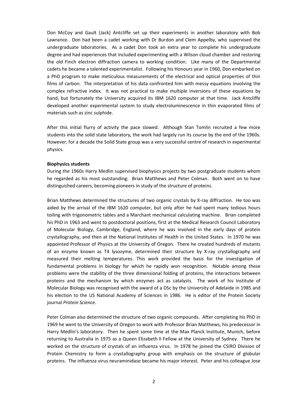Don McCoy and Gault (Jack) Antcliffe set up their experiments in another laboratory with Bob Lawrance. Don had been a cadet working with Dr Burdon and Clem Appelby, who supervised the undergraduate laboratories. As a cadet Don took an extra year to complete his undergraduate degree and had experiences that included experimenting with a Wilson cloud chamber and restoring the old Finch electron diffraction camera to working condition. Like many of the Departmental cadets he became a talented experimentalist. Following his Honours year in 1960, Don embarked on a PhD program to make meticulous measurements of the electrical and optical properties of thin films of carbon. The interpretation of his data confronted him with messy equations involving the complex refractive index. It was not practical to make multiple inversions of these equations by hand, but fortunately the University acquired its IBM 1620 computer at that time. Jack Antcliffe developed another experimental system to study electroluminescence in thin evaporated films of materials such as zinc sulphide.

After this initial flurry of activity the pace slowed. Although Stan Tomlin recruited a few more students into the solid state laboratory, the work had largely run its course by the end of the 1960s. However, for a decade the Solid State group was a very successful centre of research in experimental physics.

#### **Biophysics students**

During the 1960s Harry Medlin supervised biophysics projects by two postgraduate students whom he regarded as his most outstanding: Brian Matthews and Peter Colman. Both went on to have distinguished careers, becoming pioneers in study of the structure of proteins.

Brian Matthews determined the structures of two organic crystals by X-ray diffraction. He too was aided by the arrival of the IBM 1620 computer, but only after he had spent many tedious hours toiling with trigonometric tables and a Marchant mechanical calculating machine. Brian completed his PhD in 1963 and went to postdoctoral positions, first at the Medical Research Council Laboratory of Molecular Biology, Cambridge, England, where he was involved in the early days of protein crystallography, and then at the National Institutes of Health in the United States. In 1970 he was appointed Professor of Physics at the University of Oregon. There he created hundreds of mutants of an enzyme known as T4 lysozyme, determined their structure by X-ray crystallography and measured their melting temperatures. This work provided the basis for the investigation of fundamental problems in biology for which he rapidly won recognition. Notable among these problems were the stability of the three dimensional folding of proteins, the interactions between proteins and the mechanism by which enzymes act as catalysts. The work of his Institute of Molecular Biology was recognised with the award of a DSc by the University of Adelaide in 1985 and his election to the US National Academy of Sciences in 1986. He is editor of the Protein Society journal *Protein Science*.

Peter Colman also determined the structure of two organic compounds. After completing his PhD in 1969 he went to the University of Oregon to work with Professor Brian Matthews, his predecessor in Harry Medlin's laboratory. Then he spent some time at the Max Planck Institute, Munich, before returning to Australia in 1975 as a Queen Elizabeth II Fellow at the University of Sydney. There he worked on the structure of crystals of an influenza virus. In 1978 he joined the CSIRO Division of Protein Chemistry to form a crystallography group with emphasis on the structure of globular proteins. The influenza virus neuraminidase became his major interest. Peter and his colleague Jose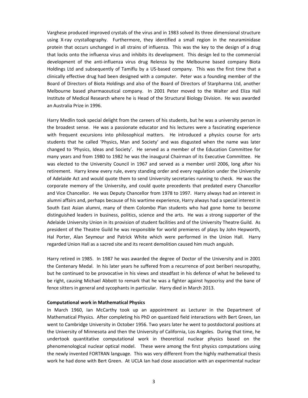Varghese produced improved crystals of the virus and in 1983 solved its three dimensional structure using X-ray crystallography. Furthermore, they identified a small region in the neuraminidase protein that occurs unchanged in all strains of influenza. This was the key to the design of a drug that locks onto the influenza virus and inhibits its development. This design led to the commercial development of the anti-influenza virus drug Relenza by the Melbourne based company Biota Holdings Ltd and subsequently of Tamiflu by a US-based company. This was the first time that a clinically effective drug had been designed with a computer. Peter was a founding member of the Board of Directors of Biota Holdings and also of the Board of Directors of Starpharma Ltd, another Melbourne based pharmaceutical company. In 2001 Peter moved to the Walter and Eliza Hall Institute of Medical Research where he is Head of the Structural Biology Division. He was awarded an Australia Prize in 1996.

Harry Medlin took special delight from the careers of his students, but he was a university person in the broadest sense. He was a passionate educator and his lectures were a fascinating experience with frequent excursions into philosophical matters. He introduced a physics course for arts students that he called 'Physics, Man and Society' and was disgusted when the name was later changed to 'Physics, Ideas and Society'. He served as a member of the Education Committee for many years and from 1980 to 1982 he was the inaugural Chairman of its Executive Committee. He was elected to the University Council in 1967 and served as a member until 2006, long after his retirement. Harry knew every rule, every standing order and every regulation under the University of Adelaide Act and would quote them to send University secretaries running to check. He was the corporate memory of the University, and could quote precedents that predated every Chancellor and Vice Chancellor. He was Deputy Chancellor from 1978 to 1997. Harry always had an interest in alumni affairs and, perhaps because of his wartime experience, Harry always had a special interest in South East Asian alumni, many of them Colombo Plan students who had gone home to become distinguished leaders in business, politics, science and the arts. He was a strong supporter of the Adelaide University Union in its provision of student facilities and of the University Theatre Guild. As president of the Theatre Guild he was responsible for world premieres of plays by John Hepworth, Hal Porter, Alan Seymour and Patrick White which were performed in the Union Hall. Harry regarded Union Hall as a sacred site and its recent demolition caused him much anguish.

Harry retired in 1985. In 1987 he was awarded the degree of Doctor of the University and in 2001 the Centenary Medal. In his later years he suffered from a recurrence of post beriberi neuropathy, but he continued to be provocative in his views and steadfast in his defence of what he believed to be right, causing Michael Abbott to remark that he was a fighter against hypocrisy and the bane of fence sitters in general and sycophants in particular. Harry died in March 2013.

#### **Computational work in Mathematical Physics**

In March 1960, Ian McCarthy took up an appointment as Lecturer in the Department of Mathematical Physics. After completing his PhD on quantized field interactions with Bert Green, Ian went to Cambridge University in October 1956. Two years later he went to postdoctoral positions at the University of Minnesota and then the University of California, Los Angeles. During that time, he undertook quantitative computational work in theoretical nuclear physics based on the phenomenological nuclear optical model. These were among the first physics computations using the newly invented FORTRAN language. This was very different from the highly mathematical thesis work he had done with Bert Green. At UCLA Ian had close association with an experimental nuclear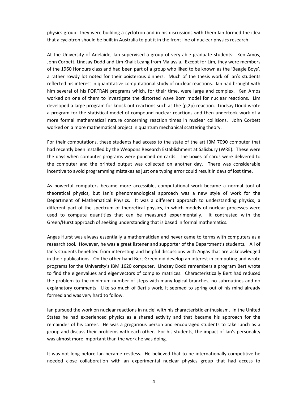physics group. They were building a cyclotron and in his discussions with them Ian formed the idea that a cyclotron should be built in Australia to put it in the front line of nuclear physics research.

At the University of Adelaide, Ian supervised a group of very able graduate students: Ken Amos, John Corbett, Lindsay Dodd and Lim Khaik Leang from Malaysia. Except for Lim, they were members of the 1960 Honours class and had been part of a group who liked to be known as the 'Beagle Boys', a rather rowdy lot noted for their boisterous dinners. Much of the thesis work of Ian's students reflected his interest in quantitative computational study of nuclear reactions. Ian had brought with him several of his FORTRAN programs which, for their time, were large and complex. Ken Amos worked on one of them to investigate the distorted wave Born model for nuclear reactions. Lim developed a large program for knock out reactions such as the (p,2p) reaction. Lindsay Dodd wrote a program for the statistical model of compound nuclear reactions and then undertook work of a more formal mathematical nature concerning reaction times in nuclear collisions. John Corbett worked on a more mathematical project in quantum mechanical scattering theory.

For their computations, these students had access to the state of the art IBM 7090 computer that had recently been installed by the Weapons Research Establishment at Salisbury (WRE). These were the days when computer programs were punched on cards. The boxes of cards were delivered to the computer and the printed output was collected on another day. There was considerable incentive to avoid programming mistakes as just one typing error could result in days of lost time.

As powerful computers became more accessible, computational work became a normal tool of theoretical physics, but Ian's phenomenological approach was a new style of work for the Department of Mathematical Physics. It was a different approach to understanding physics, a different part of the spectrum of theoretical physics, in which models of nuclear processes were used to compute quantities that can be measured experimentally. It contrasted with the Green/Hurst approach of seeking understanding that is based in formal mathematics.

Angas Hurst was always essentially a mathematician and never came to terms with computers as a research tool. However, he was a great listener and supporter of the Department's students. All of Ian's students benefited from interesting and helpful discussions with Angas that are acknowledged in their publications. On the other hand Bert Green did develop an interest in computing and wrote programs for the University's IBM 1620 computer. Lindsay Dodd remembers a program Bert wrote to find the eigenvalues and eigenvectors of complex matrices. Characteristically Bert had reduced the problem to the minimum number of steps with many logical branches, no subroutines and no explanatory comments. Like so much of Bert's work, it seemed to spring out of his mind already formed and was very hard to follow.

Ian pursued the work on nuclear reactions in nuclei with his characteristic enthusiasm. In the United States he had experienced physics as a shared activity and that became his approach for the remainder of his career. He was a gregarious person and encouraged students to take lunch as a group and discuss their problems with each other. For his students, the impact of Ian's personality was almost more important than the work he was doing.

It was not long before Ian became restless. He believed that to be internationally competitive he needed close collaboration with an experimental nuclear physics group that had access to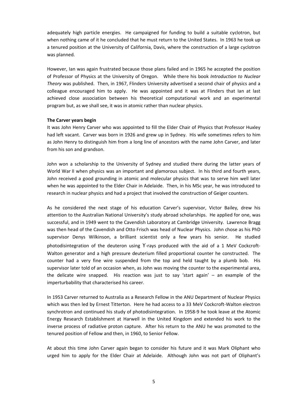adequately high particle energies. He campaigned for funding to build a suitable cyclotron, but when nothing came of it he concluded that he must return to the United States. In 1963 he took up a tenured position at the University of California, Davis, where the construction of a large cyclotron was planned.

However, Ian was again frustrated because those plans failed and in 1965 he accepted the position of Professor of Physics at the University of Oregon. While there his book *Introduction to Nuclear Theory* was published. Then, in 1967, Flinders University advertised a second chair of physics and a colleague encouraged him to apply. He was appointed and it was at Flinders that Ian at last achieved close association between his theoretical computational work and an experimental program but, as we shall see, it was in atomic rather than nuclear physics.

#### **The Carver years begin**

It was John Henry Carver who was appointed to fill the Elder Chair of Physics that Professor Huxley had left vacant. Carver was born in 1926 and grew up in Sydney. His wife sometimes refers to him as John Henry to distinguish him from a long line of ancestors with the name John Carver, and later from his son and grandson.

John won a scholarship to the University of Sydney and studied there during the latter years of World War II when physics was an important and glamorous subject. In his third and fourth years, John received a good grounding in atomic and molecular physics that was to serve him well later when he was appointed to the Elder Chair in Adelaide. Then, in his MSc year, he was introduced to research in nuclear physics and had a project that involved the construction of Geiger counters.

As he considered the next stage of his education Carver's supervisor, Victor Bailey, drew his attention to the Australian National University's study abroad scholarships. He applied for one, was successful, and in 1949 went to the Cavendish Laboratory at Cambridge University. Lawrence Bragg was then head of the Cavendish and Otto Frisch was head of Nuclear Physics. John chose as his PhD supervisor Denys Wilkinson, a brilliant scientist only a few years his senior. He studied photodisintegration of the deuteron using ϒ-rays produced with the aid of a 1 MeV Cockcroft-Walton generator and a high pressure deuterium filled proportional counter he constructed. The counter had a very fine wire suspended from the top and held taught by a plumb bob. His supervisor later told of an occasion when, as John was moving the counter to the experimental area, the delicate wire snapped. His reaction was just to say 'start again' – an example of the imperturbability that characterised his career.

In 1953 Carver returned to Australia as a Research Fellow in the ANU Department of Nuclear Physics which was then led by Ernest Titterton. Here he had access to a 33 MeV Cockcroft-Walton electron synchrotron and continued his study of photodisintegration. In 1958-9 he took leave at the Atomic Energy Research Establishment at Harwell in the United Kingdom and extended his work to the inverse process of radiative proton capture. After his return to the ANU he was promoted to the tenured position of Fellow and then, in 1960, to Senior Fellow.

At about this time John Carver again began to consider his future and it was Mark Oliphant who urged him to apply for the Elder Chair at Adelaide. Although John was not part of Oliphant's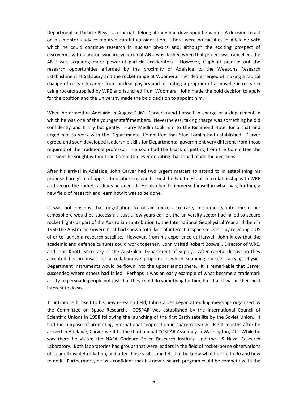Department of Particle Physics, a special lifelong affinity had developed between. A decision to act on his mentor's advice required careful consideration. There were no facilities in Adelaide with which he could continue research in nuclear physics and, although the exciting prospect of discoveries with a proton synchrocyclotron at ANU was dashed when that project was cancelled, the ANU was acquiring more powerful particle accelerators. However, Oliphant pointed out the research opportunities afforded by the proximity of Adelaide to the Weapons Research Establishment at Salisbury and the rocket range at Woomera. The idea emerged of making a radical change of research career from nuclear physics and mounting a program of atmospheric research using rockets supplied by WRE and launched from Woomera. John made the bold decision to apply for the position and the University made the bold decision to appoint him.

When he arrived in Adelaide in August 1961, Carver found himself in charge of a department in which he was one of the younger staff members. Nevertheless, taking charge was something he did confidently and firmly but gently. Harry Medlin took him to the Richmond Hotel for a chat and urged him to work with the Departmental Committee that Stan Tomlin had established. Carver agreed and soon developed leadership skills for Departmental government very different from those required of the traditional professor. He soon had the knack of getting from the Committee the decisions he sought without the Committee ever doubting that it had made the decisions.

After his arrival in Adelaide, John Carver had two urgent matters to attend to in establishing his proposed program of upper atmosphere research. First, he had to establish a relationship with WRE and secure the rocket facilities he needed. He also had to immerse himself in what was, for him, a new field of research and learn how it was to be done.

It was not obvious that negotiation to obtain rockets to carry instruments into the upper atmosphere would be successful. Just a few years earlier, the university sector had failed to secure rocket flights as part of the Australian contribution to the International Geophysical Year and then in 1960 the Australian Government had shown total lack of interest in space research by rejecting a US offer to launch a research satellite. However, from his experience at Harwell, John knew that the academic and defence cultures could work together. John visited Robert Boswell, Director of WRE, and John Knott, Secretary of the Australian Department of Supply. After careful discussion they accepted his proposals for a collaborative program in which sounding rockets carrying Physics Department instruments would be flown into the upper atmosphere. It is remarkable that Carver succeeded where others had failed. Perhaps it was an early example of what became a trademark ability to persuade people not just that they could do something for him, but that it was in their best interest to do so.

To introduce himself to his new research field, John Carver began attending meetings organised by the Committee on Space Research. COSPAR was established by the International Council of Scientific Unions in 1958 following the launching of the first Earth satellite by the Soviet Union. It had the purpose of promoting international cooperation in space research. Eight months after he arrived in Adelaide, Carver went to the third annual COSPAR Assembly in Washington, DC. While he was there he visited the NASA Goddard Space Research Institute and the US Naval Research Laboratory. Both laboratories had groups that were leaders in the field of rocket-borne observations of solar ultraviolet radiation, and after those visits John felt that he knew what he had to do and how to do it. Furthermore, he was confident that his new research program could be competitive in the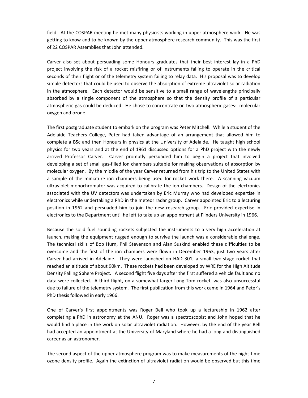field. At the COSPAR meeting he met many physicists working in upper atmosphere work. He was getting to know and to be known by the upper atmosphere research community. This was the first of 22 COSPAR Assemblies that John attended.

Carver also set about persuading some Honours graduates that their best interest lay in a PhD project involving the risk of a rocket misfiring or of instruments failing to operate in the critical seconds of their flight or of the telemetry system failing to relay data. His proposal was to develop simple detectors that could be used to observe the absorption of extreme ultraviolet solar radiation in the atmosphere. Each detector would be sensitive to a small range of wavelengths principally absorbed by a single component of the atmosphere so that the density profile of a particular atmospheric gas could be deduced. He chose to concentrate on two atmospheric gases: molecular oxygen and ozone.

The first postgraduate student to embark on the program was Peter Mitchell. While a student of the Adelaide Teachers College, Peter had taken advantage of an arrangement that allowed him to complete a BSc and then Honours in physics at the University of Adelaide. He taught high school physics for two years and at the end of 1961 discussed options for a PhD project with the newly arrived Professor Carver. Carver promptly persuaded him to begin a project that involved developing a set of small gas-filled ion chambers suitable for making observations of absorption by molecular oxygen. By the middle of the year Carver returned from his trip to the United States with a sample of the miniature ion chambers being used for rocket work there. A scanning vacuum ultraviolet monochromator was acquired to calibrate the ion chambers. Design of the electronics associated with the UV detectors was undertaken by Eric Murray who had developed expertise in electronics while undertaking a PhD in the meteor radar group. Carver appointed Eric to a lecturing position in 1962 and persuaded him to join the new research group. Eric provided expertise in electronics to the Department until he left to take up an appointment at Flinders University in 1966.

Because the solid fuel sounding rockets subjected the instruments to a very high acceleration at launch, making the equipment rugged enough to survive the launch was a considerable challenge. The technical skills of Bob Hurn, Phil Stevenson and Alan Suskind enabled these difficulties to be overcome and the first of the ion chambers were flown in December 1963, just two years after Carver had arrived in Adelaide. They were launched on HAD 301, a small two-stage rocket that reached an altitude of about 90km. These rockets had been developed by WRE for the High Altitude Density Falling Sphere Project. A second flight five days after the first suffered a vehicle fault and no data were collected. A third flight, on a somewhat larger Long Tom rocket, was also unsuccessful due to failure of the telemetry system. The first publication from this work came in 1964 and Peter's PhD thesis followed in early 1966.

One of Carver's first appointments was Roger Bell who took up a lectureship in 1962 after completing a PhD in astronomy at the ANU. Roger was a spectroscopist and John hoped that he would find a place in the work on solar ultraviolet radiation. However, by the end of the year Bell had accepted an appointment at the University of Maryland where he had a long and distinguished career as an astronomer.

The second aspect of the upper atmosphere program was to make measurements of the night-time ozone density profile. Again the extinction of ultraviolet radiation would be observed but this time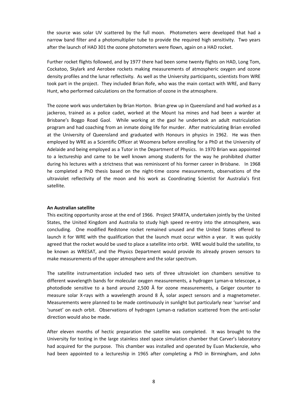the source was solar UV scattered by the full moon. Photometers were developed that had a narrow band filter and a photomultiplier tube to provide the required high sensitivity. Two years after the launch of HAD 301 the ozone photometers were flown, again on a HAD rocket.

Further rocket flights followed, and by 1977 there had been some twenty flights on HAD, Long Tom, Cockatoo, Skylark and Aerobee rockets making measurements of atmospheric oxygen and ozone density profiles and the lunar reflectivity. As well as the University participants, scientists from WRE took part in the project. They included Brian Rofe, who was the main contact with WRE, and Barry Hunt, who performed calculations on the formation of ozone in the atmosphere.

The ozone work was undertaken by Brian Horton. Brian grew up in Queensland and had worked as a jackeroo, trained as a police cadet, worked at the Mount Isa mines and had been a warder at Brisbane's Boggo Road Gaol. While working at the gaol he undertook an adult matriculation program and had coaching from an inmate doing life for murder. After matriculating Brian enrolled at the University of Queensland and graduated with Honours in physics in 1962. He was then employed by WRE as a Scientific Officer at Woomera before enrolling for a PhD at the University of Adelaide and being employed as a Tutor in the Department of Physics. In 1970 Brian was appointed to a lectureship and came to be well known among students for the way he prohibited chatter during his lectures with a strictness that was reminiscent of his former career in Brisbane. In 1968 he completed a PhD thesis based on the night-time ozone measurements, observations of the ultraviolet reflectivity of the moon and his work as Coordinating Scientist for Australia's first satellite.

#### **An Australian satellite**

This exciting opportunity arose at the end of 1966. Project SPARTA, undertaken jointly by the United States, the United Kingdom and Australia to study high speed re-entry into the atmosphere, was concluding. One modified Redstone rocket remained unused and the United States offered to launch it for WRE with the qualification that the launch must occur within a year. It was quickly agreed that the rocket would be used to place a satellite into orbit. WRE would build the satellite, to be known as WRESAT, and the Physics Department would provide its already proven sensors to make measurements of the upper atmosphere and the solar spectrum.

The satellite instrumentation included two sets of three ultraviolet ion chambers sensitive to different wavelength bands for molecular oxygen measurements, a hydrogen Lyman-α telescope, a photodiode sensitive to a band around 2,500 Å for ozone measurements, a Geiger counter to measure solar X-rays with a wavelength around 8 Å, solar aspect sensors and a magnetometer. Measurements were planned to be made continuously in sunlight but particularly near 'sunrise' and 'sunset' on each orbit. Observations of hydrogen Lyman-α radiation scattered from the anti-solar direction would also be made.

After eleven months of hectic preparation the satellite was completed. It was brought to the University for testing in the large stainless steel space simulation chamber that Carver's laboratory had acquired for the purpose. This chamber was installed and operated by Euan Mackenzie, who had been appointed to a lectureship in 1965 after completing a PhD in Birmingham, and John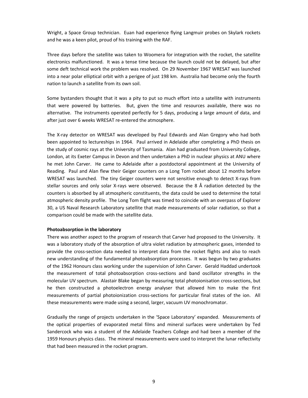Wright, a Space Group technician. Euan had experience flying Langmuir probes on Skylark rockets and he was a keen pilot, proud of his training with the RAF.

Three days before the satellite was taken to Woomera for integration with the rocket, the satellite electronics malfunctioned. It was a tense time because the launch could not be delayed, but after some deft technical work the problem was resolved. On 29 November 1967 WRESAT was launched into a near polar elliptical orbit with a perigee of just 198 km. Australia had become only the fourth nation to launch a satellite from its own soil.

Some bystanders thought that it was a pity to put so much effort into a satellite with instruments that were powered by batteries. But, given the time and resources available, there was no alternative. The instruments operated perfectly for 5 days, producing a large amount of data, and after just over 6 weeks WRESAT re-entered the atmosphere.

The X-ray detector on WRESAT was developed by Paul Edwards and Alan Gregory who had both been appointed to lectureships in 1964. Paul arrived in Adelaide after completing a PhD thesis on the study of cosmic rays at the University of Tasmania. Alan had graduated from University College, London, at its Exeter Campus in Devon and then undertaken a PhD in nuclear physics at ANU where he met John Carver. He came to Adelaide after a postdoctoral appointment at the University of Reading. Paul and Alan flew their Geiger counters on a Long Tom rocket about 12 months before WRESAT was launched. The tiny Geiger counters were not sensitive enough to detect X-rays from stellar sources and only solar X-rays were observed. Because the 8 Å radiation detected by the counters is absorbed by all atmospheric constituents, the data could be used to determine the total atmospheric density profile. The Long Tom flight was timed to coincide with an overpass of Explorer 30, a US Naval Research Laboratory satellite that made measurements of solar radiation, so that a comparison could be made with the satellite data.

#### **Photoabsorption in the laboratory**

There was another aspect to the program of research that Carver had proposed to the University. It was a laboratory study of the absorption of ultra violet radiation by atmospheric gases, intended to provide the cross-section data needed to interpret data from the rocket flights and also to reach new understanding of the fundamental photoabsorption processes. It was begun by two graduates of the 1962 Honours class working under the supervision of John Carver. Gerald Haddad undertook the measurement of total photoabsorption cross-sections and band oscillator strengths in the molecular UV spectrum. Alastair Blake began by measuring total photoionisation cross-sections, but he then constructed a photoelectron energy analyser that allowed him to make the first measurements of partial photoionization cross-sections for particular final states of the ion. All these measurements were made using a second, larger, vacuum UV monochromator.

Gradually the range of projects undertaken in the 'Space Laboratory' expanded. Measurements of the optical properties of evaporated metal films and mineral surfaces were undertaken by Ted Sandercock who was a student of the Adelaide Teachers College and had been a member of the 1959 Honours physics class. The mineral measurements were used to interpret the lunar reflectivity that had been measured in the rocket program.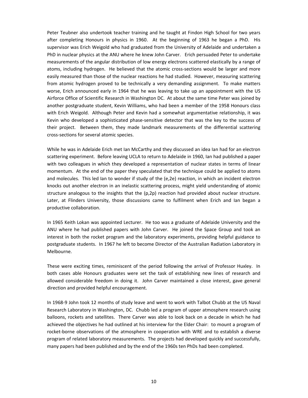Peter Teubner also undertook teacher training and he taught at Findon High School for two years after completing Honours in physics in 1960. At the beginning of 1963 he began a PhD. His supervisor was Erich Weigold who had graduated from the University of Adelaide and undertaken a PhD in nuclear physics at the ANU where he knew John Carver. Erich persuaded Peter to undertake measurements of the angular distribution of low energy electrons scattered elastically by a range of atoms, including hydrogen. He believed that the atomic cross-sections would be larger and more easily measured than those of the nuclear reactions he had studied. However, measuring scattering from atomic hydrogen proved to be technically a very demanding assignment. To make matters worse, Erich announced early in 1964 that he was leaving to take up an appointment with the US Airforce Office of Scientific Research in Washington DC. At about the same time Peter was joined by another postgraduate student, Kevin Williams, who had been a member of the 1958 Honours class with Erich Weigold. Although Peter and Kevin had a somewhat argumentative relationship, it was Kevin who developed a sophisticated phase-sensitive detector that was the key to the success of their project. Between them, they made landmark measurements of the differential scattering cross-sections for several atomic species.

While he was in Adelaide Erich met Ian McCarthy and they discussed an idea Ian had for an electron scattering experiment. Before leaving UCLA to return to Adelaide in 1960, Ian had published a paper with two colleagues in which they developed a representation of nuclear states in terms of linear momentum. At the end of the paper they speculated that the technique could be applied to atoms and molecules. This led Ian to wonder if study of the (e,2e) reaction, in which an incident electron knocks out another electron in an inelastic scattering process, might yield understanding of atomic structure analogous to the insights that the  $(p,2p)$  reaction had provided about nuclear structure. Later, at Flinders University, those discussions came to fulfilment when Erich and Ian began a productive collaboration.

In 1965 Keith Lokan was appointed Lecturer. He too was a graduate of Adelaide University and the ANU where he had published papers with John Carver. He joined the Space Group and took an interest in both the rocket program and the laboratory experiments, providing helpful guidance to postgraduate students. In 1967 he left to become Director of the Australian Radiation Laboratory in Melbourne.

These were exciting times, reminiscent of the period following the arrival of Professor Huxley. In both cases able Honours graduates were set the task of establishing new lines of research and allowed considerable freedom in doing it. John Carver maintained a close interest, gave general direction and provided helpful encouragement.

In 1968-9 John took 12 months of study leave and went to work with Talbot Chubb at the US Naval Research Laboratory in Washington, DC. Chubb led a program of upper atmosphere research using balloons, rockets and satellites. There Carver was able to look back on a decade in which he had achieved the objectives he had outlined at his interview for the Elder Chair: to mount a program of rocket-borne observations of the atmosphere in cooperation with WRE and to establish a diverse program of related laboratory measurements. The projects had developed quickly and successfully, many papers had been published and by the end of the 1960s ten PhDs had been completed.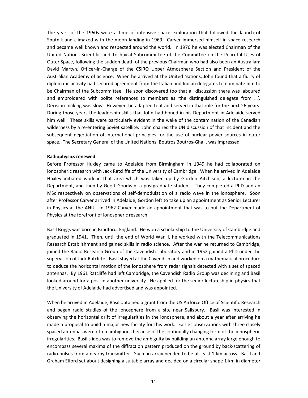The years of the 1960s were a time of intensive space exploration that followed the launch of Sputnik and climaxed with the moon landing in 1969. Carver immersed himself in space research and became well known and respected around the world. In 1970 he was elected Chairman of the United Nations Scientific and Technical Subcommittee of the Committee on the Peaceful Uses of Outer Space, following the sudden death of the previous Chairman who had also been an Australian: David Martyn, Officer-in-Charge of the CSIRO Upper Atmosphere Section and President of the Australian Academy of Science. When he arrived at the United Nations, John found that a flurry of diplomatic activity had secured agreement from the Italian and Indian delegates to nominate him to be Chairman of the Subcommittee. He soon discovered too that all discussion there was laboured and embroidered with polite references to members as 'the distinguished delegate from …'. Decision making was slow. However, he adapted to it and served in that role for the next 26 years. During those years the leadership skills that John had honed in his Department in Adelaide served him well. These skills were particularly evident in the wake of the contamination of the Canadian wilderness by a re-entering Soviet satellite. John chaired the UN discussion of that incident and the subsequent negotiation of international principles for the use of nuclear power sources in outer space. The Secretary General of the United Nations, Boutros Boutros-Ghali, was impressed

#### **Radiophysics renewed**

Before Professor Huxley came to Adelaide from Birmingham in 1949 he had collaborated on ionospheric research with Jack Ratcliffe of the University of Cambridge. When he arrived in Adelaide Huxley initiated work in that area which was taken up by Gordon Aitchison, a lecturer in the Department, and then by Geoff Goodwin, a postgraduate student. They completed a PhD and an MSc respectively on observations of self-demodulation of a radio wave in the ionosphere. Soon after Professor Carver arrived in Adelaide, Gordon left to take up an appointment as Senior Lecturer in Physics at the ANU. In 1962 Carver made an appointment that was to put the Department of Physics at the forefront of ionospheric research.

Basil Briggs was born in Bradford, England. He won a scholarship to the University of Cambridge and graduated in 1941. Then, until the end of World War II, he worked with the Telecommunications Research Establishment and gained skills in radio science. After the war he returned to Cambridge, joined the Radio Research Group of the Cavendish Laboratory and in 1952 gained a PhD under the supervision of Jack Ratcliffe. Basil stayed at the Cavendish and worked on a mathematical procedure to deduce the horizontal motion of the ionosphere from radar signals detected with a set of spaced antennas. By 1961 Ratcliffe had left Cambridge, the Cavendish Radio Group was declining and Basil looked around for a post in another university. He applied for the senior lectureship in physics that the University of Adelaide had advertised and was appointed.

When he arrived in Adelaide, Basil obtained a grant from the US Airforce Office of Scientific Research and began radio studies of the ionosphere from a site near Salisbury. Basil was interested in observing the horizontal drift of irregularities in the ionosphere, and about a year after arriving he made a proposal to build a major new facility for this work. Earlier observations with three closely spaced antennas were often ambiguous because of the continually changing form of the ionospheric irregularities. Basil's idea was to remove the ambiguity by building an antenna array large enough to encompass several maxima of the diffraction pattern produced on the ground by back-scattering of radio pulses from a nearby transmitter. Such an array needed to be at least 1 km across. Basil and Graham Elford set about designing a suitable array and decided on a circular shape 1 km in diameter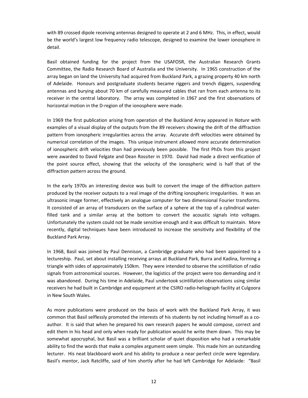with 89 crossed dipole receiving antennas designed to operate at 2 and 6 MHz. This, in effect, would be the world's largest low frequency radio telescope, designed to examine the lower ionosphere in detail.

Basil obtained funding for the project from the USAFOSR, the Australian Research Grants Committee, the Radio Research Board of Australia and the University. In 1965 construction of the array began on land the University had acquired from Buckland Park, a grazing property 40 km north of Adelaide. Honours and postgraduate students became riggers and trench diggers, suspending antennas and burying about 70 km of carefully measured cables that ran from each antenna to its receiver in the central laboratory. The array was completed in 1967 and the first observations of horizontal motion in the D-region of the ionosphere were made.

In 1969 the first publication arising from operation of the Buckland Array appeared in *Nature* with examples of a visual display of the outputs from the 89 receivers showing the drift of the diffraction pattern from ionospheric irregularities across the array. Accurate drift velocities were obtained by numerical correlation of the images. This unique instrument allowed more accurate determination of ionospheric drift velocities than had previously been possible. The first PhDs from this project were awarded to David Felgate and Dean Rossiter in 1970. David had made a direct verification of the point source effect, showing that the velocity of the ionospheric wind is half that of the diffraction pattern across the ground.

In the early 1970s an interesting device was built to convert the image of the diffraction pattern produced by the receiver outputs to a real image of the drifting ionospheric irregularities. It was an ultrasonic image former, effectively an analogue computer for two dimensional Fourier transforms. It consisted of an array of transducers on the surface of a sphere at the top of a cylindrical waterfilled tank and a similar array at the bottom to convert the acoustic signals into voltages. Unfortunately the system could not be made sensitive enough and it was difficult to maintain. More recently, digital techniques have been introduced to increase the sensitivity and flexibility of the Buckland Park Array.

In 1968, Basil was joined by Paul Dennison, a Cambridge graduate who had been appointed to a lectureship. Paul, set about installing receiving arrays at Buckland Park, Burra and Kadina, forming a triangle with sides of approximately 150km. They were intended to observe the scintillation of radio signals from astronomical sources. However, the logistics of the project were too demanding and it was abandoned. During his time in Adelaide, Paul undertook scintillation observations using similar receivers he had built in Cambridge and equipment at the CSIRO radio-heliograph facility at Culgoora in New South Wales.

As more publications were produced on the basis of work with the Buckland Park Array, it was common that Basil selflessly promoted the interests of his students by not including himself as a coauthor. It is said that when he prepared his own research papers he would compose, correct and edit them in his head and only when ready for publication would he write them down. This may be somewhat apocryphal, but Basil was a brilliant scholar of quiet disposition who had a remarkable ability to find the words that make a complex argument seem simple. This made him an outstanding lecturer. His neat blackboard work and his ability to produce a near perfect circle were legendary. Basil's mentor, Jack Ratcliffe, said of him shortly after he had left Cambridge for Adelaide: "Basil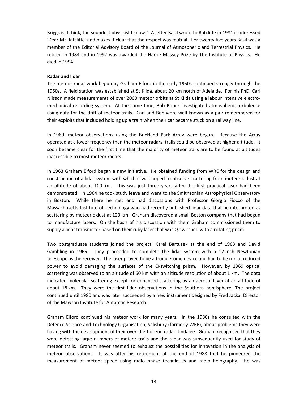Briggs is, I think, the soundest physicist I know." A letter Basil wrote to Ratcliffe in 1981 is addressed 'Dear Mr Ratcliffe' and makes it clear that the respect was mutual. For twenty five years Basil was a member of the Editorial Advisory Board of the Journal of Atmospheric and Terrestrial Physics. He retired in 1984 and in 1992 was awarded the Harrie Massey Prize by The Institute of Physics. He died in 1994.

#### **Radar and lidar**

The meteor radar work begun by Graham Elford in the early 1950s continued strongly through the 1960s. A field station was established at St Kilda, about 20 km north of Adelaide. For his PhD, Carl Nilsson made measurements of over 2000 meteor orbits at St Kilda using a labour intensive electromechanical recording system. At the same time, Bob Roper investigated atmospheric turbulence using data for the drift of meteor trails. Carl and Bob were well known as a pair remembered for their exploits that included holding up a train when their car became stuck on a railway line.

In 1969, meteor observations using the Buckland Park Array were begun. Because the Array operated at a lower frequency than the meteor radars, trails could be observed at higher altitude. It soon became clear for the first time that the majority of meteor trails are to be found at altitudes inaccessible to most meteor radars.

In 1963 Graham Elford began a new initiative. He obtained funding from WRE for the design and construction of a lidar system with which it was hoped to observe scattering from meteoric dust at an altitude of about 100 km. This was just three years after the first practical laser had been demonstrated. In 1964 he took study leave and went to the Smithsonian Astrophysical Observatory in Boston. While there he met and had discussions with Professor Giorgio Fiocco of the Massachusetts Institute of Technology who had recently published lidar data that he interpreted as scattering by meteoric dust at 120 km. Graham discovered a small Boston company that had begun to manufacture lasers. On the basis of his discussion with them Graham commissioned them to supply a lidar transmitter based on their ruby laser that was Q-switched with a rotating prism.

Two postgraduate students joined the project: Karel Bartusek at the end of 1963 and David Gambling in 1965. They proceeded to complete the lidar system with a 12-inch Newtonian telescope as the receiver. The laser proved to be a troublesome device and had to be run at reduced power to avoid damaging the surfaces of the Q-switching prism. However, by 1969 optical scattering was observed to an altitude of 60 km with an altitude resolution of about 1 km. The data indicated molecular scattering except for enhanced scattering by an aerosol layer at an altitude of about 18 km. They were the first lidar observations in the Southern hemisphere. The project continued until 1980 and was later succeeded by a new instrument designed by Fred Jacka, Director of the Mawson Institute for Antarctic Research.

Graham Elford continued his meteor work for many years. In the 1980s he consulted with the Defence Science and Technology Organisation, Salisbury (formerly WRE), about problems they were having with the development of their over-the-horizon radar, Jindalee. Graham recognised that they were detecting large numbers of meteor trails and the radar was subsequently used for study of meteor trails. Graham never seemed to exhaust the possibilities for innovation in the analysis of meteor observations. It was after his retirement at the end of 1988 that he pioneered the measurement of meteor speed using radio phase techniques and radio holography. He was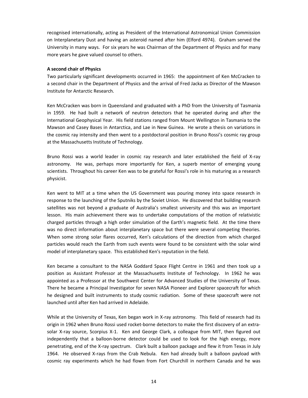recognised internationally, acting as President of the International Astronomical Union Commission on Interplanetary Dust and having an asteroid named after him (Elford 4974). Graham served the University in many ways. For six years he was Chairman of the Department of Physics and for many more years he gave valued counsel to others.

#### **A second chair of Physics**

Two particularly significant developments occurred in 1965: the appointment of Ken McCracken to a second chair in the Department of Physics and the arrival of Fred Jacka as Director of the Mawson Institute for Antarctic Research.

Ken McCracken was born in Queensland and graduated with a PhD from the University of Tasmania in 1959. He had built a network of neutron detectors that he operated during and after the International Geophysical Year. His field stations ranged from Mount Wellington in Tasmania to the Mawson and Casey Bases in Antarctica, and Lae in New Guinea. He wrote a thesis on variations in the cosmic ray intensity and then went to a postdoctoral position in Bruno Rossi's cosmic ray group at the Massachusetts Institute of Technology.

Bruno Rossi was a world leader in cosmic ray research and later established the field of X-ray astronomy. He was, perhaps more importantly for Ken, a superb mentor of emerging young scientists. Throughout his career Ken was to be grateful for Rossi's role in his maturing as a research physicist.

Ken went to MIT at a time when the US Government was pouring money into space research in response to the launching of the Sputniks by the Soviet Union. He discovered that building research satellites was not beyond a graduate of Australia's smallest university and this was an important lesson. His main achievement there was to undertake computations of the motion of relativistic charged particles through a high order simulation of the Earth's magnetic field. At the time there was no direct information about interplanetary space but there were several competing theories. When some strong solar flares occurred, Ken's calculations of the direction from which charged particles would reach the Earth from such events were found to be consistent with the solar wind model of interplanetary space. This established Ken's reputation in the field.

Ken became a consultant to the NASA Goddard Space Flight Centre in 1961 and then took up a position as Assistant Professor at the Massachusetts Institute of Technology. In 1962 he was appointed as a Professor at the Southwest Center for Advanced Studies of the University of Texas. There he became a Principal Investigator for seven NASA Pioneer and Explorer spacecraft for which he designed and built instruments to study cosmic radiation. Some of these spacecraft were not launched until after Ken had arrived in Adelaide.

While at the University of Texas, Ken began work in X-ray astronomy. This field of research had its origin in 1962 when Bruno Rossi used rocket-borne detectors to make the first discovery of an extrasolar X-ray source, Scorpius X-1. Ken and George Clark, a colleague from MIT, then figured out independently that a balloon-borne detector could be used to look for the high energy, more penetrating, end of the X-ray spectrum. Clark built a balloon package and flew it from Texas in July 1964. He observed X-rays from the Crab Nebula. Ken had already built a balloon payload with cosmic ray experiments which he had flown from Fort Churchill in northern Canada and he was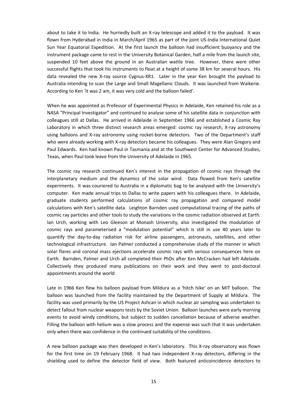about to take it to India. He hurriedly built an X-ray telescope and added it to the payload. It was flown from Hyderabad in India in March/April 1965 as part of the joint US-India International Quiet Sun Year Equatorial Expedition. At the first launch the balloon had insufficient buoyancy and the instrument package came to rest in the University Botanical Garden, half a mile from the launch site, suspended 10 feet above the ground in an Australian wattle tree. However, there were other successful flights that took his instruments to float at a height of some 38 km for several hours. His data revealed the new X-ray source Cygnus-XR1. Later in the year Ken brought the payload to Australia intending to scan the Large and Small Magellanic Clouds. It was launched from Waikerie. According to Ken 'it was 2 am, it was very cold and the balloon failed'.

When he was appointed as Professor of Experimental Physics in Adelaide, Ken retained his role as a NASA "Principal Investigator" and continued to analyse some of his satellite data in conjunction with colleagues still at Dallas. He arrived in Adelaide in September 1966 and established a Cosmic Ray Laboratory in which three distinct research areas emerged: cosmic ray research, X-ray astronomy using balloons and X-ray astronomy using rocket-borne detectors. Two of the Department's staff who were already working with X-ray detectors became his colleagues. They were Alan Gregory and Paul Edwards. Ken had known Paul in Tasmania and at the Southwest Center for Advanced Studies, Texas, when Paul took leave from the University of Adelaide in 1965.

The cosmic ray research continued Ken's interest in the propagation of cosmic rays through the interplanetary medium and the dynamics of the solar wind. Data flowed from Ken's satellite experiments. It was couriered to Australia in a diplomatic bag to be analysed with the University's computer. Ken made annual trips to Dallas to write papers with his colleagues there. In Adelaide, graduate students performed calculations of cosmic ray propagation and compared model calculations with Ken's satellite data. Leighton Barnden used computational tracing of the paths of cosmic ray particles and other tools to study the variations in the cosmic radiation observed at Earth. Ian Urch, working with Leo Gleeson at Monash University, also investigated the modulation of cosmic rays and parameterised a "modulation potential" which is still in use 40 years later to quantify the day-to-day radiation risk for airline passengers, astronauts, satellites, and other technological infrastructure. Ian Palmer conducted a comprehensive study of the manner in which solar flares and coronal mass ejections accelerate cosmic rays with serious consequences here on Earth. Barnden, Palmer and Urch all completed their PhDs after Ken McCracken had left Adelaide. Collectively they produced many publications on their work and they went to post-doctoral appointments around the world

Late in 1966 Ken flew his balloon payload from Mildura as a 'hitch hike' on an MIT balloon. The balloon was launched from the facility maintained by the Department of Supply at Mildura. The facility was used primarily by the US Project Ashcan in which nuclear air sampling was undertaken to detect fallout from nuclear weapons tests by the Soviet Union. Balloon launches were early morning events to avoid windy conditions, but subject to sudden cancellation because of adverse weather. Filling the balloon with helium was a slow process and the expense was such that it was undertaken only when there was confidence in the continued suitability of the conditions.

A new balloon package was then developed in Ken's laboratory. This X-ray observatory was flown for the first time on 19 February 1968. It had two independent X-ray detectors, differing in the shielding used to define the detector field of view. Both featured anticoincidence detectors to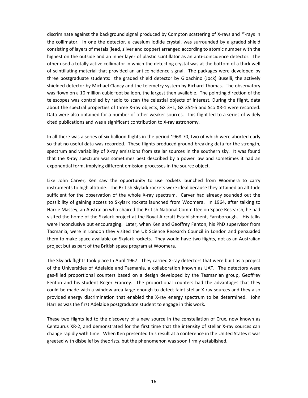discriminate against the background signal produced by Compton scattering of X-rays and ϒ-rays in the collimator. In one the detector, a caesium iodide crystal, was surrounded by a graded shield consisting of layers of metals (lead, silver and copper) arranged according to atomic number with the highest on the outside and an inner layer of plastic scintillator as an anti-coincidence detector. The other used a totally active collimator in which the detecting crystal was at the bottom of a thick well of scintillating material that provided an anticoincidence signal. The packages were developed by three postgraduate students: the graded shield detector by Gioachino (Jock) Buselli, the actively shielded detector by Michael Clancy and the telemetry system by Richard Thomas. The observatory was flown on a 10 million cubic foot balloon, the largest then available. The pointing direction of the telescopes was controlled by radio to scan the celestial objects of interest. During the flight, data about the spectral properties of three X-ray objects, GX 3+1, GX 354-5 and Sco XR-1 were recorded. Data were also obtained for a number of other weaker sources. This flight led to a series of widely cited publications and was a significant contribution to X-ray astronomy.

In all there was a series of six balloon flights in the period 1968-70, two of which were aborted early so that no useful data was recorded. These flights produced ground-breaking data for the strength, spectrum and variability of X-ray emissions from stellar sources in the southern sky. It was found that the X-ray spectrum was sometimes best described by a power law and sometimes it had an exponential form, implying different emission processes in the source object.

Like John Carver, Ken saw the opportunity to use rockets launched from Woomera to carry instruments to high altitude. The British Skylark rockets were ideal because they attained an altitude sufficient for the observation of the whole X-ray spectrum. Carver had already sounded out the possibility of gaining access to Skylark rockets launched from Woomera. In 1964, after talking to Harrie Massey, an Australian who chaired the British National Committee on Space Research, he had visited the home of the Skylark project at the Royal Aircraft Establishment, Farnborough. His talks were inconclusive but encouraging. Later, when Ken and Geoffrey Fenton, his PhD supervisor from Tasmania, were in London they visited the UK Science Research Council in London and persuaded them to make space available on Skylark rockets. They would have two flights, not as an Australian project but as part of the British space program at Woomera.

The Skylark flights took place In April 1967. They carried X-ray detectors that were built as a project of the Universities of Adelaide and Tasmania, a collaboration known as UAT. The detectors were gas-filled proportional counters based on a design developed by the Tasmanian group, Geoffrey Fenton and his student Roger Francey. The proportional counters had the advantages that they could be made with a window area large enough to detect faint stellar X-ray sources and they also provided energy discrimination that enabled the X-ray energy spectrum to be determined. John Harries was the first Adelaide postgraduate student to engage in this work.

These two flights led to the discovery of a new source in the constellation of Crux, now known as Centaurus XR-2, and demonstrated for the first time that the intensity of stellar X-ray sources can change rapidly with time. When Ken presented this result at a conference in the United States it was greeted with disbelief by theorists, but the phenomenon was soon firmly established.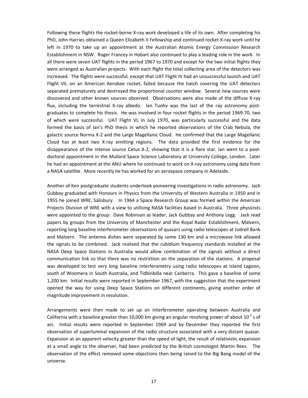Following these flights the rocket-borne X-ray work developed a life of its own. After completing his PhD, John Harries obtained a Queen Elizabeth II Fellowship and continued rocket X-ray work until he left in 1970 to take up an appointment at the Australian Atomic Energy Commission Research Establishment in NSW. Roger Francey in Hobart also continued to play a leading role in the work. In all there were seven UAT flights in the period 1967 to 1970 and except for the two initial flights they were arranged as Australian projects. With each flight the total collecting area of the detectors was increased. The flights were successful, except that UAT Flight IV had an unsuccessful launch and UAT Flight VII, on an American Aerobee rocket, failed because the hatch covering the UAT detectors separated prematurely and destroyed the proportional counter window. Several new sources were discovered and other known sources observed. Observations were also made of the diffuse X-ray flux, including the terrestrial X-ray albedo. Ian Tuohy was the last of the ray astronomy postgraduates to complete his thesis. He was involved in four rocket flights in the period 1969-70, two of which were successful. UAT Flight VI, in July 1970, was particularly successful and the data formed the basis of Ian's PhD thesis in which he reported observations of the Crab Nebula, the galactic source Norma X-2 and the Large Magellanic Cloud. He confirmed that the Large Magellanic Cloud has at least two X-ray emitting regions. The data provided the first evidence for the disappearance of the intense source Cetus X-2, showing that it is a flare star. Ian went to a postdoctoral appointment in the Mullard Space Science Laboratory at University College, London. Later he had an appointment at the ANU where he continued to work on X-ray astronomy using data from a NASA satellite. More recently he has worked for an aerospace company in Adelaide.

Another of Ken postgraduate students undertook pioneering investigations in radio astronomy. Jack Gubbay graduated with Honours in Physics from the University of Western Australia in 1950 and in 1955 he joined WRE, Salisbury. In 1964 a Space Research Group was formed within the American Projects Division of WRE with a view to utilising NASA facilities based in Australia. Three physicists were appointed to the group: Dave Robinson as leader, Jack Gubbay and Anthony Legg. Jack read papers by groups from the University of Manchester and the Royal Radar Establishment, Malvern, reporting long baseline interferometer observations of quasars using radio telescopes at Jodrell Bank and Malvern. The antenna dishes were separated by some 130 km and a microwave link allowed the signals to be combined. Jack realised that the rubidium frequency standards installed at the NASA Deep Space Stations in Australia would allow combination of the signals without a direct communication link so that there was no restriction on the separation of the stations. A proposal was developed to test very long baseline interferometry using radio telescopes at Island Lagoon, south of Woomera in South Australia, and Tidbinbilla near Canberra. This gave a baseline of some 1,200 km. Initial results were reported in September 1967, with the suggestion that the experiment opened the way for using Deep Space Stations on different continents, giving another order of magnitude improvement in resolution.

Arrangements were then made to set up an interferometer operating between Australia and California with a baseline greater than 10,000 km giving an angular resolving power of about  $10^{-3}$  s of arc. Initial results were reported in September 1969 and by December they reported the first observation of superluminal expansion of the radio structure associated with a very distant quasar. Expansion at an apparent velocity greater than the speed of light, the result of relativistic expansion at a small angle to the observer, had been predicted by the British cosmologist Martin Rees. The observation of the effect removed some objections then being raised to the Big Bang model of the universe.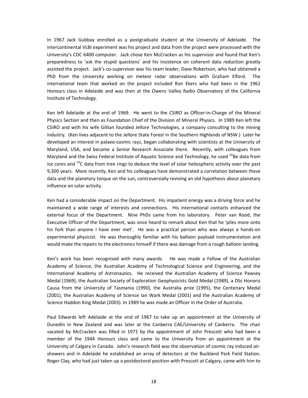In 1967 Jack Gubbay enrolled as a postgraduate student at the University of Adelaide. The intercontinental VLBI experiment was his project and data from the project were processed with the University's CDC 6400 computer. Jack chose Ken McCracken as his supervisor and found that Ken's preparedness to 'ask the stupid questions' and his insistence on coherent data reduction greatly assisted the project. Jack's co-supervisor was his team leader, Dave Robertson, who had obtained a PhD from the University working on meteor radar observations with Graham Elford. The international team that worked on the project included Ron Ekers who had been in the 1962 Honours class in Adelaide and was then at the Owens Valley Radio Observatory of the California Institute of Technology.

Ken left Adelaide at the end of 1969. He went to the CSIRO as Officer-in-Charge of the Mineral Physics Section and then as Foundation Chief of the Division of Mineral Physics. In 1989 Ken left the CSIRO and with his wife Gillian founded Jellore Technologies, a company consulting to the mining industry. (Ken lives adjacent to the Jellore State Forest in the Southern Highlands of NSW.) Later he developed an interest in palaeo-cosmic rays, began collaborating with scientists at the University of Maryland, USA, and became a Senior Research Associate there. Recently, with colleagues from Maryland and the Swiss Federal Institute of Aquatic Science and Technology, he used <sup>10</sup>Be data from ice cores and  $14$ C data from tree rings to deduce the level of solar heliospheric activity over the past 9,300 years. More recently, Ken and his colleagues have demonstrated a correlation between these data and the planetary torque on the sun, controversially reviving an old hypothesis about planetary influence on solar activity.

Ken had a considerable impact on the Department. His impatient energy was a driving force and he maintained a wide range of interests and connections. His international contacts enhanced the external focus of the Department. Nine PhDs came from his laboratory. Peter van Rood, the Executive Officer of the Department, was once heard to remark about Ken that he 'piles more onto his fork than anyone I have ever met'. He was a practical person who was always a hands-on experimental physicist. He was thoroughly familiar with his balloon payload instrumentation and would make the repairs to the electronics himself if there was damage from a rough balloon landing.

Ken's work has been recognised with many awards. He was made a Fellow of the Australian Academy of Science, the Australian Academy of Technological Science and Engineering, and the International Academy of Astronautics. He received the Australian Academy of Science Pawsey Medal (1969), the Australian Society of Exploration Geophysicists Gold Medal (1989), a DSc Honoris Causa from the University of Tasmania (1990), the Australia prize (1995), the Centenary Medal (2001), the Australian Academy of Science Ian Wark Medal (2001) and the Australian Academy of Science Haddon King Medal (2003). In 1989 he was made an Officer in the Order of Australia.

Paul Edwards left Adelaide at the end of 1967 to take up an appointment at the University of Dunedin in New Zealand and was later at the Canberra CAE/University of Canberra. The chair vacated by McCracken was filled in 1971 by the appointment of John Prescott who had been a member of the 1944 Honours class and came to the University from an appointment at the University of Calgary in Canada. John's research field was the observation of cosmic ray induced airshowers and in Adelaide he established an array of detectors at the Buckland Park Field Station. Roger Clay, who had just taken up a postdoctoral position with Prescott at Calgary, came with him to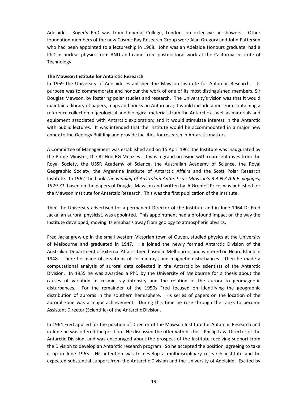Adelaide. Roger's PhD was from Imperial College, London, on extensive air-showers. Other foundation members of the new Cosmic Ray Research Group were Alan Gregory and John Patterson who had been appointed to a lectureship in 1968. John was an Adelaide Honours graduate, had a PhD in nuclear physics from ANU and came from postdoctoral work at the California Institute of Technology.

#### **The Mawson Institute for Antarctic Research**

In 1959 the University of Adelaide established the Mawson Institute for Antarctic Research. Its purpose was to commemorate and honour the work of one of its most distinguished members, Sir Douglas Mawson, by fostering polar studies and research. The University's vision was that it would maintain a library of papers, maps and books on Antarctica; it would include a museum containing a reference collection of geological and biological materials from the Antarctic as well as materials and equipment associated with Antarctic exploration; and it would stimulate interest in the Antarctic with public lectures. It was intended that the Institute would be accommodated in a major new annex to the Geology Building and provide facilities for research in Antarctic matters.

A Committee of Management was established and on 15 April 1961 the Institute was inaugurated by the Prime Minister, the Rt Hon RG Menzies. It was a grand occasion with representatives from the Royal Society, the USSR Academy of Science, the Australian Academy of Science, the Royal Geographic Society, the Argentina Institute of Antarctic Affairs and the Scott Polar Research Institute. In 1962 the book *The winning of Australian Antarctica : Mawson's B.A.N.Z.A.R.E. voyages, 1929-31*, based on the papers of Douglas Mawson and written by A Grenfell Price, was published for the Mawson Institute for Antarctic Research. This was the first publication of the Institute.

Then the University advertised for a permanent Director of the Institute and in June 1964 Dr Fred Jacka, an auroral physicist, was appointed. This appointment had a profound impact on the way the Institute developed, moving its emphasis away from geology to atmospheric physics.

Fred Jacka grew up in the small western Victorian town of Ouyen, studied physics at the University of Melbourne and graduated in 1947. He joined the newly formed Antarctic Division of the Australian Department of External Affairs, then based in Melbourne, and wintered on Heard Island in 1948. There he made observations of cosmic rays and magnetic disturbances. Then he made a computational analysis of auroral data collected in the Antarctic by scientists of the Antarctic Division. In 1955 he was awarded a PhD by the University of Melbourne for a thesis about the causes of variation in cosmic ray intensity and the relation of the aurora to geomagnetic disturbances. For the remainder of the 1950s Fred focused on identifying the geographic distribution of auroras in the southern hemisphere. His series of papers on the location of the auroral zone was a major achievement. During this time he rose through the ranks to become Assistant Director (Scientific) of the Antarctic Division.

In 1964 Fred applied for the position of Director of the Mawson Institute for Antarctic Research and in June he was offered the position. He discussed the offer with his boss Phillip Law, Director of the Antarctic Division, and was encouraged about the prospect of the Institute receiving support from the Division to develop an Antarctic research program. So he accepted the position, agreeing to take it up in June 1965. His intention was to develop a multidisciplinary research institute and he expected substantial support from the Antarctic Division and the University of Adelaide. Excited by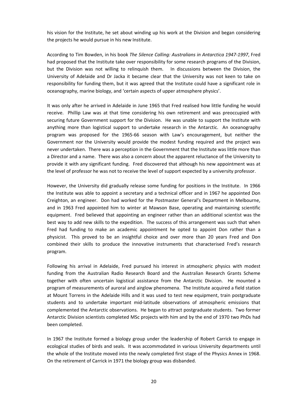his vision for the Institute, he set about winding up his work at the Division and began considering the projects he would pursue in his new Institute.

According to Tim Bowden, in his book *The Silence Calling: Australians in Antarctica 1947-1997*, Fred had proposed that the Institute take over responsibility for some research programs of the Division, but the Division was not willing to relinquish them. In discussions between the Division, the University of Adelaide and Dr Jacka it became clear that the University was not keen to take on responsibility for funding them, but it was agreed that the Institute could have a significant role in oceanography, marine biology, and 'certain aspects of upper atmosphere physics'.

It was only after he arrived in Adelaide in June 1965 that Fred realised how little funding he would receive. Phillip Law was at that time considering his own retirement and was preoccupied with securing future Government support for the Division. He was unable to support the Institute with anything more than logistical support to undertake research in the Antarctic. An oceanography program was proposed for the 1965-66 season with Law's encouragement, but neither the Government nor the University would provide the modest funding required and the project was never undertaken. There was a perception in the Government that the Institute was little more than a Director and a name. There was also a concern about the apparent reluctance of the University to provide it with any significant funding. Fred discovered that although his new appointment was at the level of professor he was not to receive the level of support expected by a university professor.

However, the University did gradually release some funding for positions in the Institute. In 1966 the Institute was able to appoint a secretary and a technical officer and in 1967 he appointed Don Creighton, an engineer. Don had worked for the Postmaster General's Department in Melbourne, and in 1963 Fred appointed him to winter at Mawson Base, operating and maintaining scientific equipment. Fred believed that appointing an engineer rather than an additional scientist was the best way to add new skills to the expedition. The success of this arrangement was such that when Fred had funding to make an academic appointment he opted to appoint Don rather than a physicist. This proved to be an insightful choice and over more than 20 years Fred and Don combined their skills to produce the innovative instruments that characterised Fred's research program.

Following his arrival in Adelaide, Fred pursued his interest in atmospheric physics with modest funding from the Australian Radio Research Board and the Australian Research Grants Scheme together with often uncertain logistical assistance from the Antarctic Division. He mounted a program of measurements of auroral and airglow phenomena. The Institute acquired a field station at Mount Torrens in the Adelaide Hills and it was used to test new equipment, train postgraduate students and to undertake important mid-latitude observations of atmospheric emissions that complemented the Antarctic observations. He began to attract postgraduate students. Two former Antarctic Division scientists completed MSc projects with him and by the end of 1970 two PhDs had been completed.

In 1967 the Institute formed a biology group under the leadership of Robert Carrick to engage in ecological studies of birds and seals. It was accommodated in various University departments until the whole of the Institute moved into the newly completed first stage of the Physics Annex in 1968. On the retirement of Carrick in 1971 the biology group was disbanded.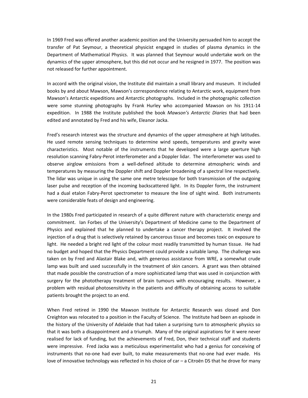In 1969 Fred was offered another academic position and the University persuaded him to accept the transfer of Pat Seymour, a theoretical physicist engaged in studies of plasma dynamics in the Department of Mathematical Physics. It was planned that Seymour would undertake work on the dynamics of the upper atmosphere, but this did not occur and he resigned in 1977. The position was not released for further appointment.

In accord with the original vision, the Institute did maintain a small library and museum. It included books by and about Mawson, Mawson's correspondence relating to Antarctic work, equipment from Mawson's Antarctic expeditions and Antarctic photographs. Included in the photographic collection were some stunning photographs by Frank Hurley who accompanied Mawson on his 1911-14 expedition. In 1988 the Institute published the book *Mawson's Antarctic Diaries* that had been edited and annotated by Fred and his wife, Eleanor Jacka.

Fred's research interest was the structure and dynamics of the upper atmosphere at high latitudes. He used remote sensing techniques to determine wind speeds, temperatures and gravity wave characteristics. Most notable of the instruments that he developed were a large aperture high resolution scanning Fabry-Perot interferometer and a Doppler lidar. The interferometer was used to observe airglow emissions from a well-defined altitude to determine atmospheric winds and temperatures by measuring the Doppler shift and Doppler broadening of a spectral line respectively. The lidar was unique in using the same one metre telescope for both transmission of the outgoing laser pulse and reception of the incoming backscattered light. In its Doppler form, the instrument had a dual etalon Fabry-Perot spectrometer to measure the line of sight wind. Both instruments were considerable feats of design and engineering.

In the 1980s Fred participated in research of a quite different nature with characteristic energy and commitment. Ian Forbes of the University's Department of Medicine came to the Department of Physics and explained that he planned to undertake a cancer therapy project. It involved the injection of a drug that is selectively retained by cancerous tissue and becomes toxic on exposure to light. He needed a bright red light of the colour most readily transmitted by human tissue. He had no budget and hoped that the Physics Department could provide a suitable lamp. The challenge was taken on by Fred and Alastair Blake and, with generous assistance from WRE, a somewhat crude lamp was built and used successfully in the treatment of skin cancers. A grant was then obtained that made possible the construction of a more sophisticated lamp that was used in conjunction with surgery for the phototherapy treatment of brain tumours with encouraging results. However, a problem with residual photosensitivity in the patients and difficulty of obtaining access to suitable patients brought the project to an end.

When Fred retired in 1990 the Mawson Institute for Antarctic Research was closed and Don Creighton was relocated to a position in the Faculty of Science. The Institute had been an episode in the history of the University of Adelaide that had taken a surprising turn to atmospheric physics so that it was both a disappointment and a triumph. Many of the original aspirations for it were never realised for lack of funding, but the achievements of Fred, Don, their technical staff and students were impressive. Fred Jacka was a meticulous experimentalist who had a genius for conceiving of instruments that no-one had ever built, to make measurements that no-one had ever made. His love of innovative technology was reflected in his choice of car – a Citroën DS that he drove for many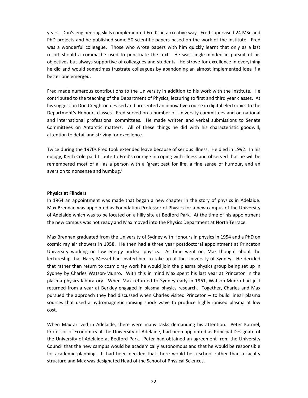years. Don's engineering skills complemented Fred's in a creative way. Fred supervised 24 MSc and PhD projects and he published some 50 scientific papers based on the work of the Institute. Fred was a wonderful colleague. Those who wrote papers with him quickly learnt that only as a last resort should a comma be used to punctuate the text. He was single-minded in pursuit of his objectives but always supportive of colleagues and students. He strove for excellence in everything he did and would sometimes frustrate colleagues by abandoning an almost implemented idea if a better one emerged.

Fred made numerous contributions to the University in addition to his work with the Institute. He contributed to the teaching of the Department of Physics, lecturing to first and third year classes. At his suggestion Don Creighton devised and presented an innovative course in digital electronics to the Department's Honours classes. Fred served on a number of University committees and on national and international professional committees. He made written and verbal submissions to Senate Committees on Antarctic matters. All of these things he did with his characteristic goodwill, attention to detail and striving for excellence.

Twice during the 1970s Fred took extended leave because of serious illness. He died in 1992. In his eulogy, Keith Cole paid tribute to Fred's courage in coping with illness and observed that he will be remembered most of all as a person with a 'great zest for life, a fine sense of humour, and an aversion to nonsense and humbug.'

#### **Physics at Flinders**

In 1964 an appointment was made that began a new chapter in the story of physics in Adelaide. Max Brennan was appointed as Foundation Professor of Physics for a new campus of the University of Adelaide which was to be located on a hilly site at Bedford Park. At the time of his appointment the new campus was not ready and Max moved into the Physics Department at North Terrace.

Max Brennan graduated from the University of Sydney with Honours in physics in 1954 and a PhD on cosmic ray air showers in 1958. He then had a three year postdoctoral appointment at Princeton University working on low energy nuclear physics. As time went on, Max thought about the lectureship that Harry Messel had invited him to take up at the University of Sydney. He decided that rather than return to cosmic ray work he would join the plasma physics group being set up in Sydney by Charles Watson-Munro. With this in mind Max spent his last year at Princeton in the plasma physics laboratory. When Max returned to Sydney early in 1961, Watson-Munro had just returned from a year at Berkley engaged in plasma physics research. Together, Charles and Max pursued the approach they had discussed when Charles visited Princeton – to build linear plasma sources that used a hydromagnetic ionising shock wave to produce highly ionised plasma at low cost.

When Max arrived in Adelaide, there were many tasks demanding his attention. Peter Karmel, Professor of Economics at the University of Adelaide, had been appointed as Principal Designate of the University of Adelaide at Bedford Park. Peter had obtained an agreement from the University Council that the new campus would be academically autonomous and that he would be responsible for academic planning. It had been decided that there would be a school rather than a faculty structure and Max was designated Head of the School of Physical Sciences.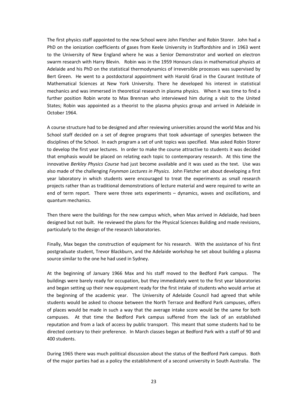The first physics staff appointed to the new School were John Fletcher and Robin Storer. John had a PhD on the ionization coefficients of gases from Keele University in Staffordshire and in 1963 went to the University of New England where he was a Senior Demonstrator and worked on electron swarm research with Harry Blevin. Robin was in the 1959 Honours class in mathematical physics at Adelaide and his PhD on the statistical thermodynamics of irreversible processes was supervised by Bert Green. He went to a postdoctoral appointment with Harold Grad in the Courant Institute of Mathematical Sciences at New York University. There he developed his interest in statistical mechanics and was immersed in theoretical research in plasma physics. When it was time to find a further position Robin wrote to Max Brennan who interviewed him during a visit to the United States; Robin was appointed as a theorist to the plasma physics group and arrived in Adelaide in October 1964.

A course structure had to be designed and after reviewing universities around the world Max and his School staff decided on a set of degree programs that took advantage of synergies between the disciplines of the School. In each program a set of unit topics was specified. Max asked Robin Storer to develop the first year lectures. In order to make the course attractive to students it was decided that emphasis would be placed on relating each topic to contemporary research. At this time the innovative *Berkley Physics Course* had just become available and it was used as the text. Use was also made of the challenging *Feynman Lectures in Physics*. John Fletcher set about developing a first year laboratory in which students were encouraged to treat the experiments as small research projects rather than as traditional demonstrations of lecture material and were required to write an end of term report. There were three sets experiments – dynamics, waves and oscillations, and quantum mechanics.

Then there were the buildings for the new campus which, when Max arrived in Adelaide, had been designed but not built. He reviewed the plans for the Physical Sciences Building and made revisions, particularly to the design of the research laboratories.

Finally, Max began the construction of equipment for his research. With the assistance of his first postgraduate student, Trevor Blackburn, and the Adelaide workshop he set about building a plasma source similar to the one he had used in Sydney.

At the beginning of January 1966 Max and his staff moved to the Bedford Park campus. The buildings were barely ready for occupation, but they immediately went to the first year laboratories and began setting up their new equipment ready for the first intake of students who would arrive at the beginning of the academic year. The University of Adelaide Council had agreed that while students would be asked to choose between the North Terrace and Bedford Park campuses, offers of places would be made in such a way that the average intake score would be the same for both campuses. At that time the Bedford Park campus suffered from the lack of an established reputation and from a lack of access by public transport. This meant that some students had to be directed contrary to their preference. In March classes began at Bedford Park with a staff of 90 and 400 students.

During 1965 there was much political discussion about the status of the Bedford Park campus. Both of the major parties had as a policy the establishment of a second university in South Australia. The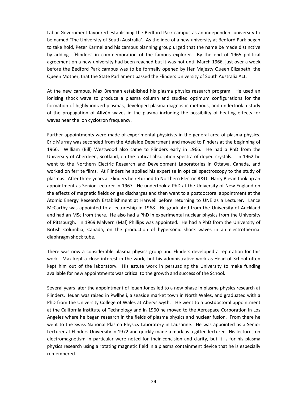Labor Government favoured establishing the Bedford Park campus as an independent university to be named 'The University of South Australia'. As the idea of a new university at Bedford Park began to take hold, Peter Karmel and his campus planning group urged that the name be made distinctive by adding 'Flinders' in commemoration of the famous explorer. By the end of 1965 political agreement on a new university had been reached but it was not until March 1966, just over a week before the Bedford Park campus was to be formally opened by Her Majesty Queen Elizabeth, the Queen Mother, that the State Parliament passed the Flinders University of South Australia Act.

At the new campus, Max Brennan established his plasma physics research program. He used an ionising shock wave to produce a plasma column and studied optimum configurations for the formation of highly ionized plasmas, developed plasma diagnostic methods, and undertook a study of the propagation of Alfvén waves in the plasma including the possibility of heating effects for waves near the ion cyclotron frequency.

Further appointments were made of experimental physicists in the general area of plasma physics. Eric Murray was seconded from the Adelaide Department and moved to Finders at the beginning of 1966. William (Bill) Westwood also came to Flinders early in 1966. He had a PhD from the University of Aberdeen, Scotland, on the optical absorption spectra of doped crystals. In 1962 he went to the Northern Electric Research and Development Laboratories in Ottawa, Canada, and worked on ferrite films. At Flinders he applied his expertise in optical spectroscopy to the study of plasmas. After three years at Flinders he returned to Northern Electric R&D. Harry Blevin took up an appointment as Senior Lecturer in 1967. He undertook a PhD at the University of New England on the effects of magnetic fields on gas discharges and then went to a postdoctoral appointment at the Atomic Energy Research Establishment at Harwell before returning to UNE as a Lecturer. Lance McCarthy was appointed to a lectureship in 1968. He graduated from the University of Auckland and had an MSc from there. He also had a PhD in experimental nuclear physics from the University of Pittsburgh. In 1969 Malvern (Mal) Phillips was appointed. He had a PhD from the University of British Columbia, Canada, on the production of hypersonic shock waves in an electrothermal diaphragm shock tube.

There was now a considerable plasma physics group and Flinders developed a reputation for this work. Max kept a close interest in the work, but his administrative work as Head of School often kept him out of the laboratory. His astute work in persuading the University to make funding available for new appointments was critical to the growth and success of the School.

Several years later the appointment of Ieuan Jones led to a new phase in plasma physics research at Flinders. Ieuan was raised in Pwllheli, a seaside market town in North Wales, and graduated with a PhD from the University College of Wales at Aberystwyth. He went to a postdoctoral appointment at the California Institute of Technology and in 1960 he moved to the Aerospace Corporation in Los Angeles where he began research in the fields of plasma physics and nuclear fusion. From there he went to the Swiss National Plasma Physics Laboratory in Lausanne. He was appointed as a Senior Lecturer at Flinders University in 1972 and quickly made a mark as a gifted lecturer. His lectures on electromagnetism in particular were noted for their concision and clarity, but it is for his plasma physics research using a rotating magnetic field in a plasma containment device that he is especially remembered.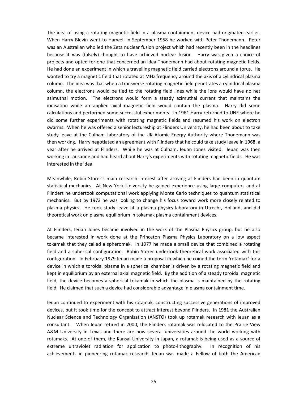The idea of using a rotating magnetic field in a plasma containment device had originated earlier. When Harry Blevin went to Harwell in September 1958 he worked with Peter Thonemann. Peter was an Australian who led the Zeta nuclear fusion project which had recently been in the headlines because it was (falsely) thought to have achieved nuclear fusion. Harry was given a choice of projects and opted for one that concerned an idea Thonemann had about rotating magnetic fields. He had done an experiment in which a travelling magnetic field carried electrons around a torus. He wanted to try a magnetic field that rotated at MHz frequency around the axis of a cylindrical plasma column. The idea was that when a transverse rotating magnetic field penetrates a cylindrical plasma column, the electrons would be tied to the rotating field lines while the ions would have no net azimuthal motion. The electrons would form a steady azimuthal current that maintains the ionisation while an applied axial magnetic field would contain the plasma. Harry did some calculations and performed some successful experiments. In 1961 Harry returned to UNE where he did some further experiments with rotating magnetic fields and resumed his work on electron swarms. When he was offered a senior lectureship at Flinders University, he had been about to take study leave at the Culham Laboratory of the UK Atomic Energy Authority where Thonemann was then working. Harry negotiated an agreement with Flinders that he could take study leave in 1968, a year after he arrived at Flinders. While he was at Culham, Ieuan Jones visited. Ieuan was then working in Lausanne and had heard about Harry's experiments with rotating magnetic fields. He was interested in the idea.

Meanwhile, Robin Storer's main research interest after arriving at Flinders had been in quantum statistical mechanics. At New York University he gained experience using large computers and at Flinders he undertook computational work applying Monte Carlo techniques to quantum statistical mechanics. But by 1973 he was looking to change his focus toward work more closely related to plasma physics. He took study leave at a plasma physics laboratory in Utrecht, Holland, and did theoretical work on plasma equilibrium in tokamak plasma containment devices.

At Flinders, Ieuan Jones became involved in the work of the Plasma Physics group, but he also became interested in work done at the Princeton Plasma Physics Laboratory on a low aspect tokamak that they called a spheromak. In 1977 he made a small device that combined a rotating field and a spherical configuration. Robin Storer undertook theoretical work associated with this configuration. In February 1979 Ieuan made a proposal in which he coined the term 'rotamak' for a device in which a toroidal plasma in a spherical chamber is driven by a rotating magnetic field and kept in equilibrium by an external axial magnetic field. By the addition of a steady toroidal magnetic field, the device becomes a spherical tokamak in which the plasma is maintained by the rotating field. He claimed that such a device had considerable advantage in plasma containment time.

Ieuan continued to experiment with his rotamak, constructing successive generations of improved devices, but it took time for the concept to attract interest beyond Flinders. In 1981 the Australian Nuclear Science and Technology Organisation (ANSTO) took up rotamak research with Ieuan as a consultant. When Ieuan retired in 2000, the Flinders rotamak was relocated to the Prairie View A&M University in Texas and there are now several universities around the world working with rotamaks. At one of them, the Kansai University in Japan, a rotamak is being used as a source of extreme ultraviolet radiation for application to photo-lithography. In recognition of his achievements in pioneering rotamak research, Ieuan was made a Fellow of both the American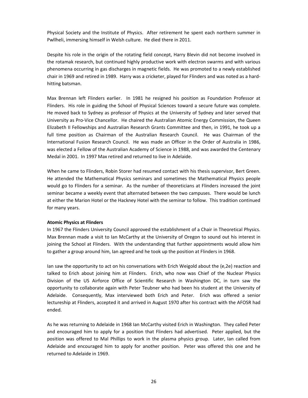Physical Society and the Institute of Physics. After retirement he spent each northern summer in Pwllheli, immersing himself in Welsh culture. He died there in 2011.

Despite his role in the origin of the rotating field concept, Harry Blevin did not become involved in the rotamak research, but continued highly productive work with electron swarms and with various phenomena occurring in gas discharges in magnetic fields. He was promoted to a newly established chair in 1969 and retired in 1989. Harry was a cricketer, played for Flinders and was noted as a hardhitting batsman.

Max Brennan left Flinders earlier. In 1981 he resigned his position as Foundation Professor at Flinders. His role in guiding the School of Physical Sciences toward a secure future was complete. He moved back to Sydney as professor of Physics at the University of Sydney and later served that University as Pro-Vice Chancellor. He chaired the Australian Atomic Energy Commission, the Queen Elizabeth II Fellowships and Australian Research Grants Committee and then, in 1991, he took up a full time position as Chairman of the Australian Research Council. He was Chairman of the International Fusion Research Council. He was made an Officer in the Order of Australia in 1986, was elected a Fellow of the Australian Academy of Science in 1988, and was awarded the Centenary Medal in 2001. In 1997 Max retired and returned to live in Adelaide.

When he came to Flinders, Robin Storer had resumed contact with his thesis supervisor, Bert Green. He attended the Mathematical Physics seminars and sometimes the Mathematical Physics people would go to Flinders for a seminar. As the number of theoreticians at Flinders increased the joint seminar became a weekly event that alternated between the two campuses. There would be lunch at either the Marion Hotel or the Hackney Hotel with the seminar to follow. This tradition continued for many years.

#### **Atomic Physics at Flinders**

In 1967 the Flinders University Council approved the establishment of a Chair in Theoretical Physics. Max Brennan made a visit to Ian McCarthy at the University of Oregon to sound out his interest in joining the School at Flinders. With the understanding that further appointments would allow him to gather a group around him, Ian agreed and he took up the position at Flinders in 1968.

Ian saw the opportunity to act on his conversations with Erich Weigold about the (e,2e) reaction and talked to Erich about joining him at Flinders. Erich, who now was Chief of the Nuclear Physics Division of the US Airforce Office of Scientific Research in Washington DC, in turn saw the opportunity to collaborate again with Peter Teubner who had been his student at the University of Adelaide. Consequently, Max interviewed both Erich and Peter. Erich was offered a senior lectureship at Flinders, accepted it and arrived in August 1970 after his contract with the AFOSR had ended.

As he was returning to Adelaide in 1968 Ian McCarthy visited Erich in Washington. They called Peter and encouraged him to apply for a position that Flinders had advertised. Peter applied, but the position was offered to Mal Phillips to work in the plasma physics group. Later, Ian called from Adelaide and encouraged him to apply for another position. Peter was offered this one and he returned to Adelaide in 1969.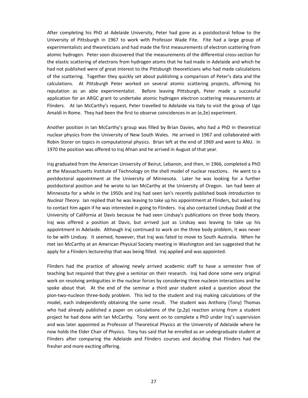After completing his PhD at Adelaide University, Peter had gone as a postdoctoral fellow to the University of Pittsburgh in 1967 to work with Professor Wade Fite. Fite had a large group of experimentalists and theoreticians and had made the first measurements of electron scattering from atomic hydrogen. Peter soon discovered that the measurements of the differential cross-section for the elastic scattering of electrons from hydrogen atoms that he had made in Adelaide and which he had not published were of great interest to the Pittsburgh theoreticians who had made calculations of the scattering. Together they quickly set about publishing a comparison of Peter's data and the calculations. At Pittsburgh Peter worked on several atomic scattering projects, affirming his reputation as an able experimentalist. Before leaving Pittsburgh, Peter made a successful application for an ARGC grant to undertake atomic hydrogen electron scattering measurements at Flinders. At Ian McCarthy's request, Peter travelled to Adelaide via Italy to visit the group of Ugo Amaldi in Rome. They had been the first to observe coincidences in an (e,2e) experiment.

Another position in Ian McCarthy's group was filled by Brian Davies, who had a PhD in theoretical nuclear physics from the University of New South Wales. He arrived in 1967 and collaborated with Robin Storer on topics in computational physics. Brian left at the end of 1969 and went to ANU. In 1970 the position was offered to Iraj Afnan and he arrived in August of that year.

Iraj graduated from the American University of Beirut, Lebanon, and then, in 1966, completed a PhD at the Massachusetts Institute of Technology on the shell model of nuclear reactions. He went to a postdoctoral appointment at the University of Minnesota. Later he was looking for a further postdoctoral position and he wrote to Ian McCarthy at the University of Oregon. Ian had been at Minnesota for a while in the 1950s and Iraj had seen Ian's recently published book *Introduction to Nuclear Theory*. Ian replied that he was leaving to take up his appointment at Flinders, but asked Iraj to contact him again if he was interested in going to Flinders. Iraj also contacted Lindsay Dodd at the University of California at Davis because he had seen Lindsay's publications on three body theory. Iraj was offered a position at Davis, but arrived just as Lindsay was leaving to take up his appointment in Adelaide. Although Iraj continued to work on the three body problem, it was never to be with Lindsay. It seemed, however, that Iraj was fated to move to South Australia. When he met Ian McCarthy at an American Physical Society meeting in Washington and Ian suggested that he apply for a Flinders lectureship that was being filled. Iraj applied and was appointed.

Flinders had the practice of allowing newly arrived academic staff to have a semester free of teaching but required that they give a seminar on their research. Iraj had done some very original work on resolving ambiguities in the nuclear forces by considering three nucleon interactions and he spoke about that. At the end of the seminar a third year student asked a question about the pion-two-nucleon three-body problem. This led to the student and Iraj making calculations of the model, each independently obtaining the same result. The student was Anthony (Tony) Thomas who had already published a paper on calculations of the  $(p,2p)$  reaction arising from a student project he had done with Ian McCarthy. Tony went on to complete a PhD under Iraj's supervision and was later appointed as Professor of Theoretical Physics at the University of Adelaide where he now holds the Elder Chair of Physics. Tony has said that he enrolled as an undergraduate student at Flinders after comparing the Adelaide and Flinders courses and deciding that Flinders had the fresher and more exciting offering.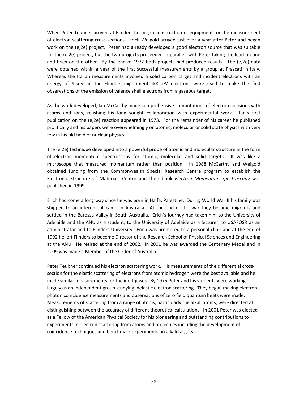When Peter Teubner arrived at Flinders he began construction of equipment for the measurement of electron scattering cross-sections. Erich Weigold arrived just over a year after Peter and began work on the (e,2e) project. Peter had already developed a good electron source that was suitable for the (e,2e) project, but the two projects proceeded in parallel, with Peter taking the lead on one and Erich on the other. By the end of 1972 both projects had produced results. The (e,2e) data were obtained within a year of the first successful measurements by a group at Frascati in Italy. Whereas the Italian measurements involved a solid carbon target and incident electrons with an energy of 9 keV, in the Flinders experiment 400 eV electrons were used to make the first observations of the emission of valence shell electrons from a gaseous target.

As the work developed, Ian McCarthy made comprehensive computations of electron collisions with atoms and ions, relishing his long sought collaboration with experimental work. Ian's first publication on the (e,2e) reaction appeared in 1973. For the remainder of his career he published prolifically and his papers were overwhelmingly on atomic, molecular or solid state physics with very few in his old field of nuclear physics.

The (e,2e) technique developed into a powerful probe of atomic and molecular structure in the form of electron momentum spectroscopy for atomic, molecular and solid targets. It was like a microscope that measured momentum rather than position. In 1988 McCarthy and Weigold obtained funding from the Commonwealth Special Research Centre program to establish the Electronic Structure of Materials Centre and their book *Electron Momentum Spectroscopy* was published in 1999.

Erich had come a long way since he was born in Haifa, Palestine. During World War II his family was shipped to an internment camp in Australia. At the end of the war they became migrants and settled in the Barossa Valley in South Australia. Erich's journey had taken him to the University of Adelaide and the ANU as a student, to the University of Adelaide as a lecturer, to USAFOSR as an administrator and to Flinders University. Erich was promoted to a personal chair and at the end of 1992 he left Flinders to become Director of the Research School of Physical Sciences and Engineering at the ANU. He retired at the end of 2002. In 2001 he was awarded the Centenary Medal and in 2009 was made a Member of the Order of Australia.

Peter Teubner continued his electron scattering work. His measurements of the differential crosssection for the elastic scattering of electrons from atomic hydrogen were the best available and he made similar measurements for the inert gases. By 1975 Peter and his students were working largely as an independent group studying inelastic electron scattering. They began making electronphoton coincidence measurements and observations of zero field quantum beats were made. Measurements of scattering from a range of atoms, particularly the alkali atoms, were directed at distinguishing between the accuracy of different theoretical calculations. In 2001 Peter was elected as a Fellow of the American Physical Society for his pioneering and outstanding contributions to experiments in electron scattering from atoms and molecules including the development of coincidence techniques and benchmark experiments on alkali targets.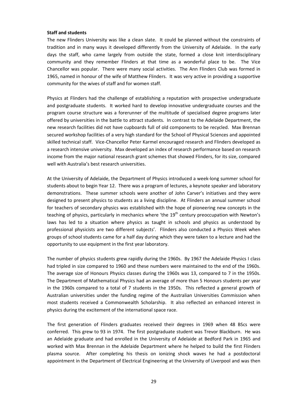#### **Staff and students**

The new Flinders University was like a clean slate. It could be planned without the constraints of tradition and in many ways it developed differently from the University of Adelaide. In the early days the staff, who came largely from outside the state, formed a close knit interdisciplinary community and they remember Flinders at that time as a wonderful place to be. The Vice Chancellor was popular. There were many social activities. The Ann Flinders Club was formed in 1965, named in honour of the wife of Matthew Flinders. It was very active in providing a supportive community for the wives of staff and for women staff.

Physics at Flinders had the challenge of establishing a reputation with prospective undergraduate and postgraduate students. It worked hard to develop innovative undergraduate courses and the program course structure was a forerunner of the multitude of specialised degree programs later offered by universities in the battle to attract students. In contrast to the Adelaide Department, the new research facilities did not have cupboards full of old components to be recycled. Max Brennan secured workshop facilities of a very high standard for the School of Physical Sciences and appointed skilled technical staff. Vice-Chancellor Peter Karmel encouraged research and Flinders developed as a research intensive university. Max developed an index of research performance based on research income from the major national research grant schemes that showed Flinders, for its size, compared well with Australia's best research universities.

At the University of Adelaide, the Department of Physics introduced a week-long summer school for students about to begin Year 12. There was a program of lectures, a keynote speaker and laboratory demonstrations. These summer schools were another of John Carver's initiatives and they were designed to present physics to students as a living discipline. At Flinders an annual summer school for teachers of secondary physics was established with the hope of pioneering new concepts in the teaching of physics, particularly in mechanics where 'the 19<sup>th</sup> century preoccupation with Newton's laws has led to a situation where physics as taught in schools and physics as understood by professional physicists are two different subjects'. Flinders also conducted a Physics Week when groups of school students came for a half day during which they were taken to a lecture and had the opportunity to use equipment in the first year laboratory.

The number of physics students grew rapidly during the 1960s. By 1967 the Adelaide Physics I class had tripled in size compared to 1960 and these numbers were maintained to the end of the 1960s. The average size of Honours Physics classes during the 1960s was 13, compared to 7 in the 1950s. The Department of Mathematical Physics had an average of more than 5 Honours students per year in the 1960s compared to a total of 7 students in the 1950s. This reflected a general growth of Australian universities under the funding regime of the Australian Universities Commission when most students received a Commonwealth Scholarship. It also reflected an enhanced interest in physics during the excitement of the international space race.

The first generation of Flinders graduates received their degrees in 1969 when 48 BScs were conferred. This grew to 93 in 1974. The first postgraduate student was Trevor Blackburn. He was an Adelaide graduate and had enrolled in the University of Adelaide at Bedford Park in 1965 and worked with Max Brennan in the Adelaide Department where he helped to build the first Flinders plasma source. After completing his thesis on ionizing shock waves he had a postdoctoral appointment in the Department of Electrical Engineering at the University of Liverpool and was then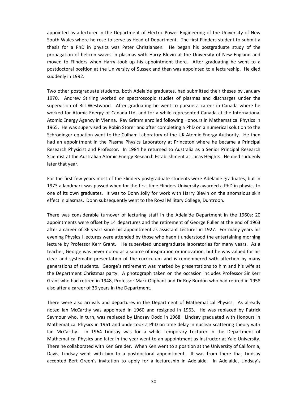appointed as a lecturer in the Department of Electric Power Engineering of the University of New South Wales where he rose to serve as Head of Department. The first Flinders student to submit a thesis for a PhD in physics was Peter Christiansen. He began his postgraduate study of the propagation of helicon waves in plasmas with Harry Blevin at the University of New England and moved to Flinders when Harry took up his appointment there. After graduating he went to a postdoctoral position at the University of Sussex and then was appointed to a lectureship. He died suddenly in 1992.

Two other postgraduate students, both Adelaide graduates, had submitted their theses by January 1970. Andrew Stirling worked on spectroscopic studies of plasmas and discharges under the supervision of Bill Westwood. After graduating he went to pursue a career in Canada where he worked for Atomic Energy of Canada Ltd, and for a while represented Canada at the International Atomic Energy Agency in Vienna. Ray Grimm enrolled following Honours in Mathematical Physics in 1965. He was supervised by Robin Storer and after completing a PhD on a numerical solution to the Schrödinger equation went to the Culham Laboratory of the UK Atomic Energy Authority. He then had an appointment in the Plasma Physics Laboratory at Princeton where he became a Principal Research Physicist and Professor. In 1984 he returned to Australia as a Senior Principal Research Scientist at the Australian Atomic Energy Research Establishment at Lucas Heights. He died suddenly later that year.

For the first few years most of the Flinders postgraduate students were Adelaide graduates, but in 1973 a landmark was passed when for the first time Flinders University awarded a PhD in physics to one of its own graduates. It was to Donn Jolly for work with Harry Blevin on the anomalous skin effect in plasmas. Donn subsequently went to the Royal Military College, Duntroon.

There was considerable turnover of lecturing staff in the Adelaide Department in the 1960s: 20 appointments were offset by 14 departures and the retirement of George Fuller at the end of 1963 after a career of 36 years since his appointment as assistant Lecturer in 1927. For many years his evening Physics I lectures were attended by those who hadn't understood the entertaining morning lecture by Professor Kerr Grant. He supervised undergraduate laboratories for many years. As a teacher, George was never noted as a source of inspiration or innovation, but he was valued for his clear and systematic presentation of the curriculum and is remembered with affection by many generations of students. George's retirement was marked by presentations to him and his wife at the Department Christmas party. A photograph taken on the occasion includes Professor Sir Kerr Grant who had retired in 1948, Professor Mark Oliphant and Dr Roy Burdon who had retired in 1958 also after a career of 36 years in the Department.

There were also arrivals and departures in the Department of Mathematical Physics. As already noted Ian McCarthy was appointed in 1960 and resigned in 1963. He was replaced by Patrick Seymour who, in turn, was replaced by Lindsay Dodd in 1968. Lindsay graduated with Honours in Mathematical Physics in 1961 and undertook a PhD on time delay in nuclear scattering theory with Ian McCarthy. In 1964 Lindsay was for a while Temporary Lecturer in the Department of Mathematical Physics and later in the year went to an appointment as Instructor at Yale University. There he collaborated with Ken Greider. When Ken went to a position at the University of California, Davis, Lindsay went with him to a postdoctoral appointment. It was from there that Lindsay accepted Bert Green's invitation to apply for a lectureship in Adelaide. In Adelaide, Lindsay's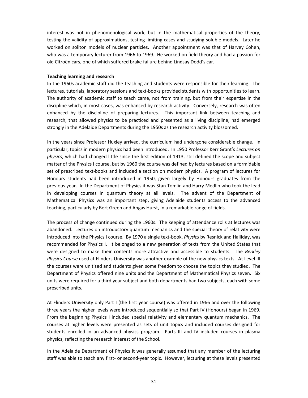interest was not in phenomenological work, but in the mathematical properties of the theory, testing the validity of approximations, testing limiting cases and studying soluble models. Later he worked on soliton models of nuclear particles. Another appointment was that of Harvey Cohen, who was a temporary lecturer from 1966 to 1969. He worked on field theory and had a passion for old Citroën cars, one of which suffered brake failure behind Lindsay Dodd's car.

#### **Teaching learning and research**

In the 1960s academic staff did the teaching and students were responsible for their learning. The lectures, tutorials, laboratory sessions and text-books provided students with opportunities to learn. The authority of academic staff to teach came, not from training, but from their expertise in the discipline which, in most cases, was enhanced by research activity. Conversely, research was often enhanced by the discipline of preparing lectures. This important link between teaching and research, that allowed physics to be practiced and presented as a living discipline, had emerged strongly in the Adelaide Departments during the 1950s as the research activity blossomed.

In the years since Professor Huxley arrived, the curriculum had undergone considerable change. In particular, topics in modern physics had been introduced. In 1950 Professor Kerr Grant's *Lectures on physics*, which had changed little since the first edition of 1913, still defined the scope and subject matter of the Physics I course, but by 1960 the course was defined by lectures based on a formidable set of prescribed text-books and included a section on modern physics. A program of lectures for Honours students had been introduced in 1950, given largely by Honours graduates from the previous year. In the Department of Physics it was Stan Tomlin and Harry Medlin who took the lead in developing courses in quantum theory at all levels. The advent of the Department of Mathematical Physics was an important step, giving Adelaide students access to the advanced teaching, particularly by Bert Green and Angas Hurst, in a remarkable range of fields.

The process of change continued during the 1960s. The keeping of attendance rolls at lectures was abandoned. Lectures on introductory quantum mechanics and the special theory of relativity were introduced into the Physics I course. By 1970 a single text-book, *Physics* by Resnick and Halliday, was recommended for Physics I. It belonged to a new generation of texts from the United States that were designed to make their contents more attractive and accessible to students. The *Berkley Physics Course* used at Flinders University was another example of the new physics texts. At Level III the courses were unitised and students given some freedom to choose the topics they studied. The Department of Physics offered nine units and the Department of Mathematical Physics seven. Six units were required for a third year subject and both departments had two subjects, each with some prescribed units.

At Flinders University only Part I (the first year course) was offered in 1966 and over the following three years the higher levels were introduced sequentially so that Part IV (Honours) began in 1969. From the beginning Physics I included special relativity and elementary quantum mechanics. The courses at higher levels were presented as sets of unit topics and included courses designed for students enrolled in an advanced physics program. Parts III and IV included courses in plasma physics, reflecting the research interest of the School.

In the Adelaide Department of Physics it was generally assumed that any member of the lecturing staff was able to teach any first- or second-year topic. However, lecturing at these levels presented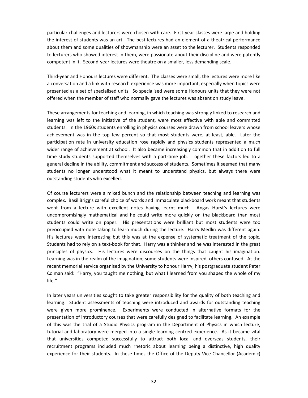particular challenges and lecturers were chosen with care. First-year classes were large and holding the interest of students was an art. The best lectures had an element of a theatrical performance about them and some qualities of showmanship were an asset to the lecturer. Students responded to lecturers who showed interest in them, were passionate about their discipline and were patently competent in it. Second-year lectures were theatre on a smaller, less demanding scale.

Third-year and Honours lectures were different. The classes were small, the lectures were more like a conversation and a link with research experience was more important, especially when topics were presented as a set of specialised units. So specialised were some Honours units that they were not offered when the member of staff who normally gave the lectures was absent on study leave.

These arrangements for teaching and learning, in which teaching was strongly linked to research and learning was left to the initiative of the student, were most effective with able and committed students. In the 1960s students enrolling in physics courses were drawn from school leavers whose achievement was in the top few percent so that most students were, at least, able. Later the participation rate in university education rose rapidly and physics students represented a much wider range of achievement at school. It also became increasingly common that in addition to full time study students supported themselves with a part-time job. Together these factors led to a general decline in the ability, commitment and success of students. Sometimes it seemed that many students no longer understood what it meant to understand physics, but always there were outstanding students who excelled.

Of course lecturers were a mixed bunch and the relationship between teaching and learning was complex. Basil Brigg's careful choice of words and immaculate blackboard work meant that students went from a lecture with excellent notes having learnt much. Angas Hurst's lectures were uncompromisingly mathematical and he could write more quickly on the blackboard than most students could write on paper. His presentations were brilliant but most students were too preoccupied with note taking to learn much during the lecture. Harry Medlin was different again. His lectures were interesting but this was at the expense of systematic treatment of the topic. Students had to rely on a text-book for that. Harry was a thinker and he was interested in the great principles of physics. His lectures were discourses on the things that caught his imagination. Learning was in the realm of the imagination; some students were inspired, others confused. At the recent memorial service organised by the University to honour Harry, his postgraduate student Peter Colman said: "Harry, you taught me nothing, but what I learned from you shaped the whole of my life."

In later years universities sought to take greater responsibility for the quality of both teaching and learning. Student assessments of teaching were introduced and awards for outstanding teaching were given more prominence. Experiments were conducted in alternative formats for the presentation of introductory courses that were carefully designed to facilitate learning. An example of this was the trial of a Studio Physics program in the Department of Physics in which lecture, tutorial and laboratory were merged into a single learning centred experience. As it became vital that universities competed successfully to attract both local and overseas students, their recruitment programs included much rhetoric about learning being a distinctive, high quality experience for their students. In these times the Office of the Deputy Vice-Chancellor (Academic)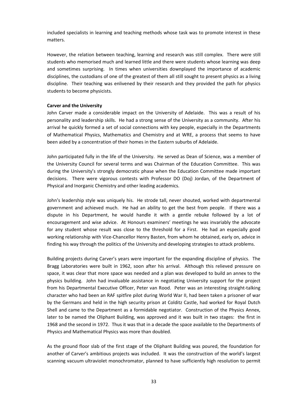included specialists in learning and teaching methods whose task was to promote interest in these matters.

However, the relation between teaching, learning and research was still complex. There were still students who memorised much and learned little and there were students whose learning was deep and sometimes surprising. In times when universities downplayed the importance of academic disciplines, the custodians of one of the greatest of them all still sought to present physics as a living discipline. Their teaching was enlivened by their research and they provided the path for physics students to become physicists.

#### **Carver and the University**

John Carver made a considerable impact on the University of Adelaide. This was a result of his personality and leadership skills. He had a strong sense of the University as a community. After his arrival he quickly formed a set of social connections with key people, especially in the Departments of Mathematical Physics, Mathematics and Chemistry and at WRE, a process that seems to have been aided by a concentration of their homes in the Eastern suburbs of Adelaide.

John participated fully in the life of the University. He served as Dean of Science, was a member of the University Council for several terms and was Chairman of the Education Committee. This was during the University's strongly democratic phase when the Education Committee made important decisions. There were vigorous contests with Professor DO (Doj) Jordan, of the Department of Physical and Inorganic Chemistry and other leading academics.

John's leadership style was uniquely his. He strode tall, never shouted, worked with departmental government and achieved much. He had an ability to get the best from people. If there was a dispute in his Department, he would handle it with a gentle rebuke followed by a lot of encouragement and wise advice. At Honours examiners' meetings he was invariably the advocate for any student whose result was close to the threshold for a First. He had an especially good working relationship with Vice-Chancellor Henry Basten, from whom he obtained, early on, advice in finding his way through the politics of the University and developing strategies to attack problems.

Building projects during Carver's years were important for the expanding discipline of physics. The Bragg Laboratories were built in 1962, soon after his arrival. Although this relieved pressure on space, it was clear that more space was needed and a plan was developed to build an annex to the physics building. John had invaluable assistance in negotiating University support for the project from his Departmental Executive Officer, Peter van Rood. Peter was an interesting straight-talking character who had been an RAF spitfire pilot during World War II, had been taken a prisoner of war by the Germans and held in the high security prison at Colditz Castle, had worked for Royal Dutch Shell and came to the Department as a formidable negotiator. Construction of the Physics Annex, later to be named the Oliphant Building, was approved and it was built in two stages: the first in 1968 and the second in 1972. Thus it was that in a decade the space available to the Departments of Physics and Mathematical Physics was more than doubled.

As the ground floor slab of the first stage of the Oliphant Building was poured, the foundation for another of Carver's ambitious projects was included. It was the construction of the world's largest scanning vacuum ultraviolet monochromator, planned to have sufficiently high resolution to permit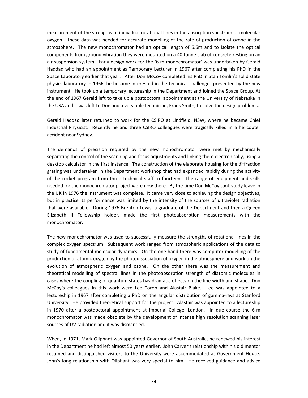measurement of the strengths of individual rotational lines in the absorption spectrum of molecular oxygen. These data was needed for accurate modelling of the rate of production of ozone in the atmosphere. The new monochromator had an optical length of 6.6m and to isolate the optical components from ground vibration they were mounted on a 40 tonne slab of concrete resting on an air suspension system. Early design work for the '6-m monochromator' was undertaken by Gerald Haddad who had an appointment as Temporary Lecturer in 1967 after completing his PhD in the Space Laboratory earlier that year. After Don McCoy completed his PhD in Stan Tomlin's solid state physics laboratory in 1966, he became interested in the technical challenges presented by the new instrument. He took up a temporary lectureship in the Department and joined the Space Group. At the end of 1967 Gerald left to take up a postdoctoral appointment at the University of Nebraska in the USA and it was left to Don and a very able technician, Frank Smith, to solve the design problems.

Gerald Haddad later returned to work for the CSIRO at Lindfield, NSW, where he became Chief Industrial Physicist. Recently he and three CSIRO colleagues were tragically killed in a helicopter accident near Sydney.

The demands of precision required by the new monochromator were met by mechanically separating the control of the scanning and focus adjustments and linking them electronically, using a desktop calculator in the first instance. The construction of the elaborate housing for the diffraction grating was undertaken in the Department workshop that had expanded rapidly during the activity of the rocket program from three technical staff to fourteen. The range of equipment and skills needed for the monochromator project were now there. By the time Don McCoy took study leave in the UK in 1976 the instrument was complete. It came very close to achieving the design objectives, but in practice its performance was limited by the intensity of the sources of ultraviolet radiation that were available. During 1976 Brenton Lewis, a graduate of the Department and then a Queen Elizabeth II Fellowship holder, made the first photoabsorption measurements with the monochromator.

The new monochromator was used to successfully measure the strengths of rotational lines in the complex oxygen spectrum. Subsequent work ranged from atmospheric applications of the data to study of fundamental molecular dynamics. On the one hand there was computer modelling of the production of atomic oxygen by the photodissociation of oxygen in the atmosphere and work on the evolution of atmospheric oxygen and ozone. On the other there was the measurement and theoretical modelling of spectral lines in the photoabsorption strength of diatomic molecules in cases where the coupling of quantum states has dramatic effects on the line width and shape. Don McCoy's colleagues in this work were Lee Torop and Alastair Blake. Lee was appointed to a lectureship in 1967 after completing a PhD on the angular distribution of gamma-rays at Stanford University. He provided theoretical support for the project. Alastair was appointed to a lectureship in 1970 after a postdoctoral appointment at Imperial College, London. In due course the 6-m monochromator was made obsolete by the development of intense high resolution scanning laser sources of UV radiation and it was dismantled.

When, in 1971, Mark Oliphant was appointed Governor of South Australia, he renewed his interest in the Department he had left almost 50 years earlier. John Carver's relationship with his old mentor resumed and distinguished visitors to the University were accommodated at Government House. John's long relationship with Oliphant was very special to him. He received guidance and advice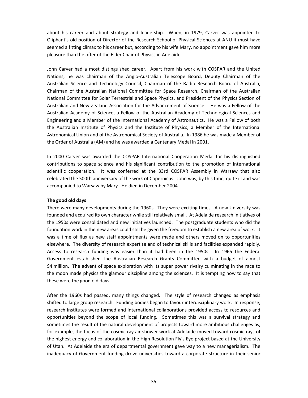about his career and about strategy and leadership. When, in 1979, Carver was appointed to Oliphant's old position of Director of the Research School of Physical Sciences at ANU it must have seemed a fitting climax to his career but, according to his wife Mary, no appointment gave him more pleasure than the offer of the Elder Chair of Physics in Adelaide.

John Carver had a most distinguished career. Apart from his work with COSPAR and the United Nations, he was chairman of the Anglo-Australian Telescope Board, Deputy Chairman of the Australian Science and Technology Council, Chairman of the Radio Research Board of Australia, Chairman of the Australian National Committee for Space Research, Chairman of the Australian National Committee for Solar Terrestrial and Space Physics, and President of the Physics Section of Australian and New Zealand Association for the Advancement of Science. He was a Fellow of the Australian Academy of Science, a Fellow of the Australian Academy of Technological Sciences and Engineering and a Member of the International Academy of Astronautics. He was a Fellow of both the Australian Institute of Physics and the Institute of Physics, a Member of the International Astronomical Union and of the Astronomical Society of Australia. In 1986 he was made a Member of the Order of Australia (AM) and he was awarded a Centenary Medal in 2001.

In 2000 Carver was awarded the COSPAR International Cooperation Medal for his distinguished contributions to space science and his significant contribution to the promotion of international scientific cooperation. It was conferred at the 33rd COSPAR Assembly in Warsaw that also celebrated the 500th anniversary of the work of Copernicus. John was, by this time, quite ill and was accompanied to Warsaw by Mary. He died in December 2004.

#### **The good old days**

There were many developments during the 1960s. They were exciting times. A new University was founded and acquired its own character while still relatively small. At Adelaide research initiatives of the 1950s were consolidated and new initiatives launched. The postgraduate students who did the foundation work in the new areas could still be given the freedom to establish a new area of work. It was a time of flux as new staff appointments were made and others moved on to opportunities elsewhere. The diversity of research expertise and of technical skills and facilities expanded rapidly. Access to research funding was easier than it had been in the 1950s. In 1965 the Federal Government established the Australian Research Grants Committee with a budget of almost \$4 million. The advent of space exploration with its super power rivalry culminating in the race to the moon made physics the glamour discipline among the sciences. It is tempting now to say that these were the good old days.

After the 1960s had passed, many things changed. The style of research changed as emphasis shifted to large group research. Funding bodies began to favour interdisciplinary work. In response, research institutes were formed and international collaborations provided access to resources and opportunities beyond the scope of local funding. Sometimes this was a survival strategy and sometimes the result of the natural development of projects toward more ambitious challenges as, for example, the focus of the cosmic ray air-shower work at Adelaide moved toward cosmic rays of the highest energy and collaboration in the High Resolution Fly's Eye project based at the University of Utah. At Adelaide the era of departmental government gave way to a new managerialism. The inadequacy of Government funding drove universities toward a corporate structure in their senior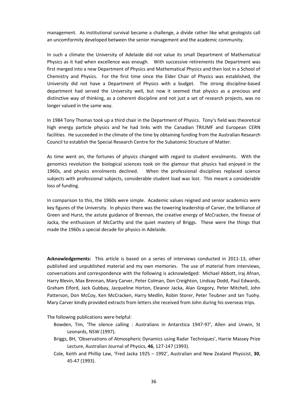management. As institutional survival became a challenge, a divide rather like what geologists call an uncomformity developed between the senior management and the academic community.

In such a climate the University of Adelaide did not value its small Department of Mathematical Physics as it had when excellence was enough. With successive retirements the Department was first merged into a new Department of Physics and Mathematical Physics and then lost in a School of Chemistry and Physics. For the first time since the Elder Chair of Physics was established, the University did not have a Department of Physics with a budget. The strong discipline-based department had served the University well, but now it seemed that physics as a precious and distinctive way of thinking, as a coherent discipline and not just a set of research projects, was no longer valued in the same way.

In 1984 Tony Thomas took up a third chair in the Department of Physics. Tony's field was theoretical high energy particle physics and he had links with the Canadian TRIUMF and European CERN facilities. He succeeded in the climate of the time by obtaining funding from the Australian Research Council to establish the Special Research Centre for the Subatomic Structure of Matter.

As time went on, the fortunes of physics changed with regard to student enrolments. With the genomics revolution the biological sciences took on the glamour that physics had enjoyed in the 1960s, and physics enrolments declined. When the professional disciplines replaced science subjects with professional subjects, considerable student load was lost. This meant a considerable loss of funding.

In comparison to this, the 1960s were simple. Academic values reigned and senior academics were key figures of the University. In physics there was the towering leadership of Carver, the brilliance of Green and Hurst, the astute guidance of Brennan, the creative energy of McCracken, the finesse of Jacka, the enthusiasm of McCarthy and the quiet mastery of Briggs. These were the things that made the 1960s a special decade for physics in Adelaide.

**Acknowledgements:** This article is based on a series of interviews conducted in 2011-13, other published and unpublished material and my own memories. The use of material from interviews, conversations and correspondence with the following is acknowledged: Michael Abbott, Iraj Afnan, Harry Blevin, Max Brennan, Mary Carver, Peter Colman, Don Creighton, Lindsay Dodd, Paul Edwards, Graham Elford, Jack Gubbay, Jacqueline Horton, Eleanor Jacka, Alan Gregory, Peter Mitchell, John Patterson, Don McCoy, Ken McCracken, Harry Medlin, Robin Storer, Peter Teubner and Ian Tuohy. Mary Carver kindly provided extracts from letters she received from John during his overseas trips.

The following publications were helpful:

- Bowden, Tim, 'The silence calling : Australians in Antarctica 1947-97', Allen and Unwin, St Leonards, NSW (1997).
- Briggs, BH, 'Observations of Atmospheric Dynamics using Radar Techniques', Harrie Massey Prize Lecture, Australian Journal of Physics, **46**, 127-147 (1993).
- Cole, Keith and Phillip Law, 'Fred Jacka 1925 1992', Australian and New Zealand Physicist, **30**, 45-47 (1993).